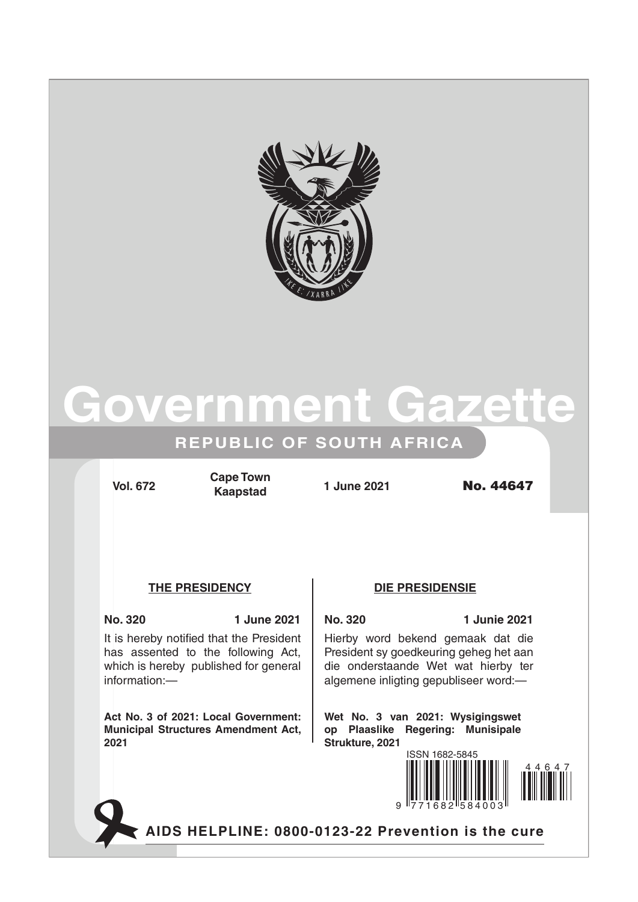

# **Government Gazet**

## **REPUBLIC OF SOUTH AFRICA**

**Vol. 672 1 June 2021** No. 44647 **Cape Town Kaapstad**

### **The Presidency Die Presidensie**

### **No. 320 1 June 2021 No. 320 1 Junie 2021**

It is hereby notified that the President has assented to the following Act, which is hereby published for general information:—

**Act No. 3 of 2021: Local Government: Municipal Structures Amendment Act, 2021**

Hierby word bekend gemaak dat die President sy goedkeuring geheg het aan die onderstaande Wet wat hierby ter algemene inligting gepubliseer word:—

**Wet No. 3 van 2021: Wysigingswet op Plaaslike Regering: Munisipale Strukture, 2021**



**AIDS HELPLINE: 0800-0123-22 Prevention is the cure**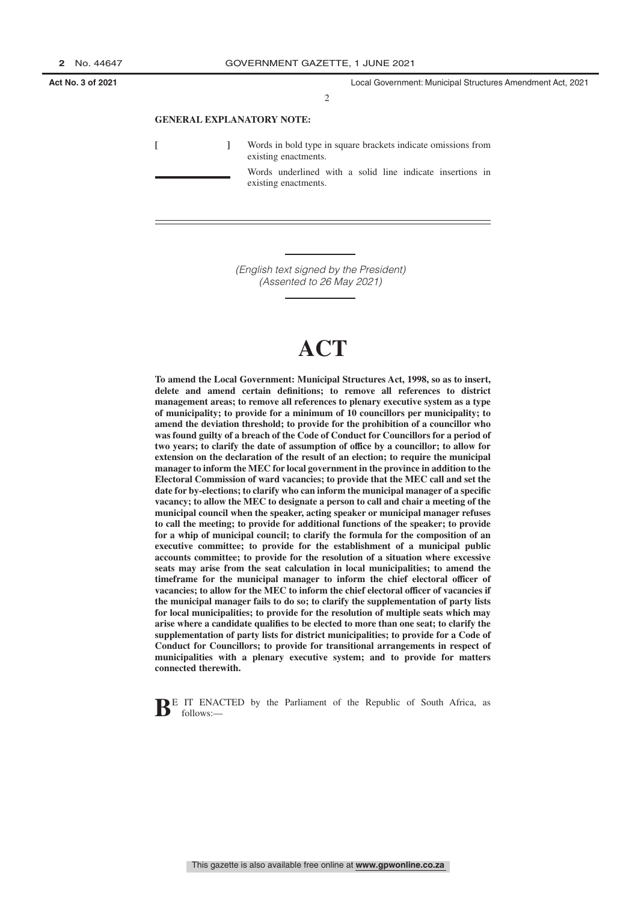2

#### **GENERAL EXPLANATORY NOTE:**

**[ ]** Words in bold type in square brackets indicate omissions from existing enactments. Words underlined with a solid line indicate insertions in existing enactments.

> *(English text signed by the President) (Assented to 26 May 2021)*

# **ACT**

**To amend the Local Government: Municipal Structures Act, 1998, so as to insert, delete and amend certain definitions; to remove all references to district management areas; to remove all references to plenary executive system as a type of municipality; to provide for a minimum of 10 councillors per municipality; to amend the deviation threshold; to provide for the prohibition of a councillor who was found guilty of a breach of the Code of Conduct for Councillors for a period of two years; to clarify the date of assumption of office by a councillor; to allow for extension on the declaration of the result of an election; to require the municipal manager to inform the MEC for local government in the province in addition to the Electoral Commission of ward vacancies; to provide that the MEC call and set the date for by-elections; to clarify who can inform the municipal manager of a specific vacancy; to allow the MEC to designate a person to call and chair a meeting of the municipal council when the speaker, acting speaker or municipal manager refuses to call the meeting; to provide for additional functions of the speaker; to provide for a whip of municipal council; to clarify the formula for the composition of an executive committee; to provide for the establishment of a municipal public accounts committee; to provide for the resolution of a situation where excessive seats may arise from the seat calculation in local municipalities; to amend the timeframe for the municipal manager to inform the chief electoral officer of vacancies; to allow for the MEC to inform the chief electoral officer of vacancies if the municipal manager fails to do so; to clarify the supplementation of party lists for local municipalities; to provide for the resolution of multiple seats which may arise where a candidate qualifies to be elected to more than one seat; to clarify the supplementation of party lists for district municipalities; to provide for a Code of Conduct for Councillors; to provide for transitional arrangements in respect of municipalities with a plenary executive system; and to provide for matters connected therewith.**

BE IT ENACTED by the Parliament of the Republic of South Africa, as follows:-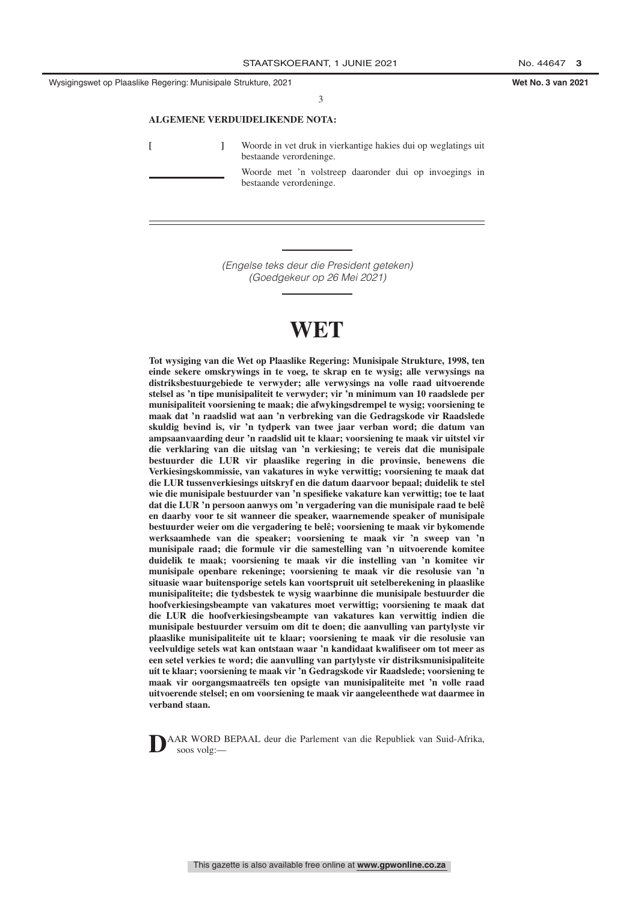#### **ALGEMENE VERDUIDELIKENDE NOTA:**

**[ ]** Woorde in vet druk in vierkantige hakies dui op weglatings uit bestaande verordeninge.

> Woorde met 'n volstreep daaronder dui op invoegings in bestaande verordeninge.

*(Engelse teks deur die President geteken) (Goedgekeur op 26 Mei 2021)*

# **WET**

**Tot wysiging van die Wet op Plaaslike Regering: Munisipale Strukture, 1998, ten einde sekere omskrywings in te voeg, te skrap en te wysig; alle verwysings na distriksbestuurgebiede te verwyder; alle verwysings na volle raad uitvoerende stelsel as 'n tipe munisipaliteit te verwyder; vir 'n minimum van 10 raadslede per munisipaliteit voorsiening te maak; die afwykingsdrempel te wysig; voorsiening te maak dat 'n raadslid wat aan 'n verbreking van die Gedragskode vir Raadslede skuldig bevind is, vir 'n tydperk van twee jaar verban word; die datum van ampsaanvaarding deur 'n raadslid uit te klaar; voorsiening te maak vir uitstel vir die verklaring van die uitslag van 'n verkiesing; te vereis dat die munisipale bestuurder die LUR vir plaaslike regering in die provinsie, benewens die Verkiesingskommissie, van vakatures in wyke verwittig; voorsiening te maak dat die LUR tussenverkiesings uitskryf en die datum daarvoor bepaal; duidelik te stel wie die munisipale bestuurder van 'n spesifieke vakature kan verwittig; toe te laat dat die LUR 'n persoon aanwys om 'n vergadering van die munisipale raad te belê en daarby voor te sit wanneer die speaker, waarnemende speaker of munisipale bestuurder weier om die vergadering te belê; voorsiening te maak vir bykomende werksaamhede van die speaker; voorsiening te maak vir 'n sweep van 'n munisipale raad; die formule vir die samestelling van 'n uitvoerende komitee duidelik te maak; voorsiening te maak vir die instelling van 'n komitee vir munisipale openbare rekeninge; voorsiening te maak vir die resolusie van 'n situasie waar buitensporige setels kan voortspruit uit setelberekening in plaaslike munisipaliteite; die tydsbestek te wysig waarbinne die munisipale bestuurder die hoofverkiesingsbeampte van vakatures moet verwittig; voorsiening te maak dat die LUR die hoofverkiesingsbeampte van vakatures kan verwittig indien die munisipale bestuurder versuim om dit te doen; die aanvulling van partylyste vir plaaslike munisipaliteite uit te klaar; voorsiening te maak vir die resolusie van veelvuldige setels wat kan ontstaan waar 'n kandidaat kwalifiseer om tot meer as een setel verkies te word; die aanvulling van partylyste vir distriksmunisipaliteite uit te klaar; voorsiening te maak vir 'n Gedragskode vir Raadslede; voorsiening te maak vir oorgangsmaatreëls ten opsigte van munisipaliteite met 'n volle raad uitvoerende stelsel; en om voorsiening te maak vir aangeleenthede wat daarmee in verband staan.**

**D**AAR WORD BEPAAL deur die Parlement van die Republiek van Suid-Afrika, soos volg:—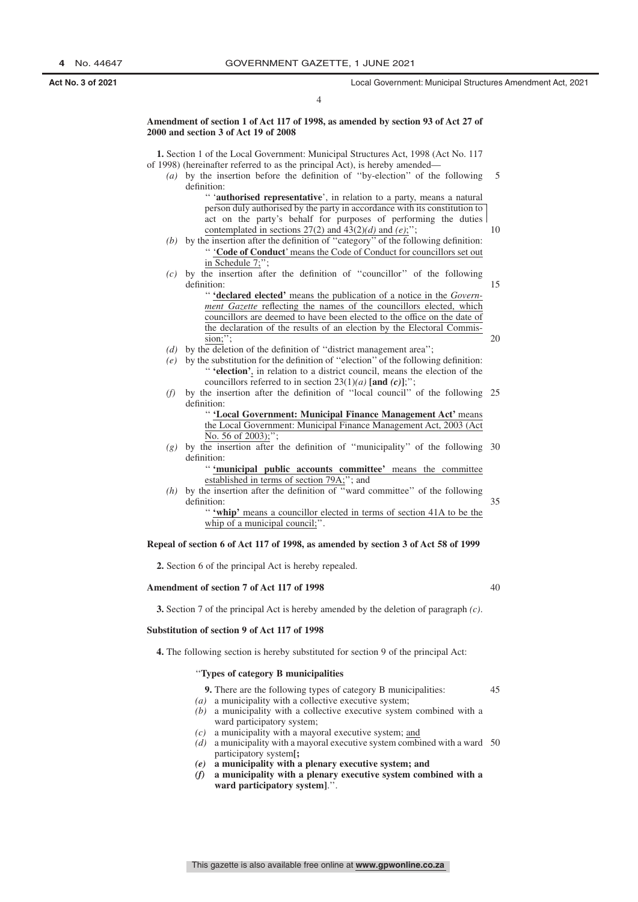15

20

35

40

45

4

**Amendment of section 1 of Act 117 of 1998, as amended by section 93 of Act 27 of 2000 and section 3 of Act 19 of 2008**

**1.** Section 1 of the Local Government: Municipal Structures Act, 1998 (Act No. 117 of 1998) (hereinafter referred to as the principal Act), is hereby amended— *(a)* by the insertion before the definition of ''by-election'' of the following

- definition: '' '**authorised representative**', in relation to a party, means a natural person duly authorised by the party in accordance with its constitution to act on the party's behalf for purposes of performing the duties contemplated in sections 27(2) and 43(2)*(d)* and *(e)*;''; 10
- *(b)* by the insertion after the definition of ''category'' of the following definition: '' '**Code of Conduct**' means the Code of Conduct for councillors set out in Schedule 7;
- *(c)* by the insertion after the definition of ''councillor'' of the following definition:
	- '' **'declared elected'** means the publication of a notice in the *Government Gazette* reflecting the names of the councillors elected, which councillors are deemed to have been elected to the office on the date of the declaration of the results of an election by the Electoral Commission;'';
- *(d)* by the deletion of the definition of ''district management area'';
- *(e)* by the substitution for the definition of ''election'' of the following definition: '' **'election'**, in relation to a district council, means the election of the councillors referred to in section  $23(1)(a)$  [and  $(c)$ ];";
- *(f)* by the insertion after the definition of ''local council'' of the following 25 definition:

'' **'Local Government: Municipal Finance Management Act'** means the Local Government: Municipal Finance Management Act, 2003 (Act No. 56 of 2003);";

*(g)* by the insertion after the definition of ''municipality'' of the following 30 definition:

> '' **'municipal public accounts committee'** means the committee established in terms of section 79A;''; and

- *(h)* by the insertion after the definition of ''ward committee'' of the following definition: '' **'whip'** means a councillor elected in terms of section 41A to be the
	- whip of a municipal council:".

#### **Repeal of section 6 of Act 117 of 1998, as amended by section 3 of Act 58 of 1999**

**2.** Section 6 of the principal Act is hereby repealed.

#### **Amendment of section 7 of Act 117 of 1998**

**3.** Section 7 of the principal Act is hereby amended by the deletion of paragraph *(c)*.

#### **Substitution of section 9 of Act 117 of 1998**

**4.** The following section is hereby substituted for section 9 of the principal Act:

### ''**Types of category B municipalities**

**9.** There are the following types of category B municipalities:

- *(a)* a municipality with a collective executive system;
- *(b)* a municipality with a collective executive system combined with a ward participatory system;
- *(c)* a municipality with a mayoral executive system; and
- *(d)* a municipality with a mayoral executive system combined with a ward 50 participatory system**[;**
- *(e)* **a municipality with a plenary executive system; and**
- *(f)* **a municipality with a plenary executive system combined with a** ward participatory system]."

This gazette is also available free online at **www.gpwonline.co.za**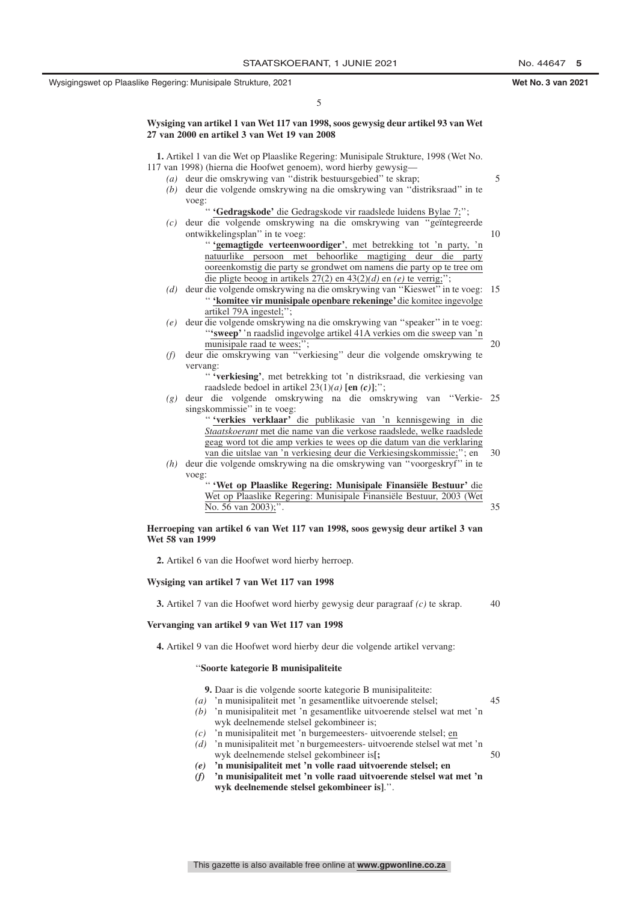5

#### **Wysiging van artikel 1 van Wet 117 van 1998, soos gewysig deur artikel 93 van Wet 27 van 2000 en artikel 3 van Wet 19 van 2008**

**1.** Artikel 1 van die Wet op Plaaslike Regering: Munisipale Strukture, 1998 (Wet No. 117 van 1998) (hierna die Hoofwet genoem), word hierby gewysig— *(a)* deur die omskrywing van ''distrik bestuursgebied'' te skrap; *(b)* deur die volgende omskrywing na die omskrywing van ''distriksraad'' in te voeg: '' **'Gedragskode'** die Gedragskode vir raadslede luidens Bylae 7;''; *(c)* deur die volgende omskrywing na die omskrywing van ''geïntegreerde ontwikkelingsplan'' in te voeg: '' **'gemagtigde verteenwoordiger'**, met betrekking tot 'n party, 'n natuurlike persoon met behoorlike magtiging deur die party ooreenkomstig die party se grondwet om namens die party op te tree om die pligte beoog in artikels 27(2) en 43(2)*(d)* en *(e)* te verrig;''; *(d)* deur die volgende omskrywing na die omskrywing van ''Kieswet'' in te voeg: 15 '' **'komitee vir munisipale openbare rekeninge'** die komitee ingevolge artikel 79A ingestel;''; *(e)* deur die volgende omskrywing na die omskrywing van ''speaker'' in te voeg: ''**'sweep'** 'n raadslid ingevolge artikel 41A verkies om die sweep van 'n munisipale raad te wees;"; *(f)* deur die omskrywing van ''verkiesing'' deur die volgende omskrywing te vervang: '' **'verkiesing'**, met betrekking tot 'n distriksraad, die verkiesing van raadslede bedoel in artikel 23(1)*(a)* **[en** *(c)***]**;''; *(g)* deur die volgende omskrywing na die omskrywing van ''Verkie-25 singskommissie'' in te voeg: '' **'verkies verklaar'** die publikasie van 'n kennisgewing in die *Staatskoerant* met die name van die verkose raadslede, welke raadslede geag word tot die amp verkies te wees op die datum van die verklaring van die uitslae van 'n verkiesing deur die Verkiesingskommissie;''; en *(h)* deur die volgende omskrywing na die omskrywing van ''voorgeskryf'' in te voeg: '' **'Wet op Plaaslike Regering: Munisipale Finansiële Bestuur'** die Wet op Plaaslike Regering: Munisipale Finansiële Bestuur, 2003 (Wet No. 56 van 2003);' **Herroeping van artikel 6 van Wet 117 van 1998, soos gewysig deur artikel 3 van Wet 58 van 1999 2.** Artikel 6 van die Hoofwet word hierby herroep. 5 10 20 30 35

**Wysiging van artikel 7 van Wet 117 van 1998**

**3.** Artikel 7 van die Hoofwet word hierby gewysig deur paragraaf *(c)* te skrap. 40

#### **Vervanging van artikel 9 van Wet 117 van 1998**

**4.** Artikel 9 van die Hoofwet word hierby deur die volgende artikel vervang:

#### ''**Soorte kategorie B munisipaliteite**

- **9.** Daar is die volgende soorte kategorie B munisipaliteite:
- *(a)* 'n munisipaliteit met 'n gesamentlike uitvoerende stelsel; *(b)* 'n munisipaliteit met 'n gesamentlike uitvoerende stelsel wat met 'n 45
- wyk deelnemende stelsel gekombineer is;
- *(c)* 'n munisipaliteit met 'n burgemeesters- uitvoerende stelsel; en
- *(d)* 'n munisipaliteit met 'n burgemeesters- uitvoerende stelsel wat met 'n wyk deelnemende stelsel gekombineer is**[;** 50

*(e)* **'n munisipaliteit met 'n volle raad uitvoerende stelsel; en**

*(f)* **'n munisipaliteit met 'n volle raad uitvoerende stelsel wat met 'n wyk deelnemende stelsel gekombineer is]**.''.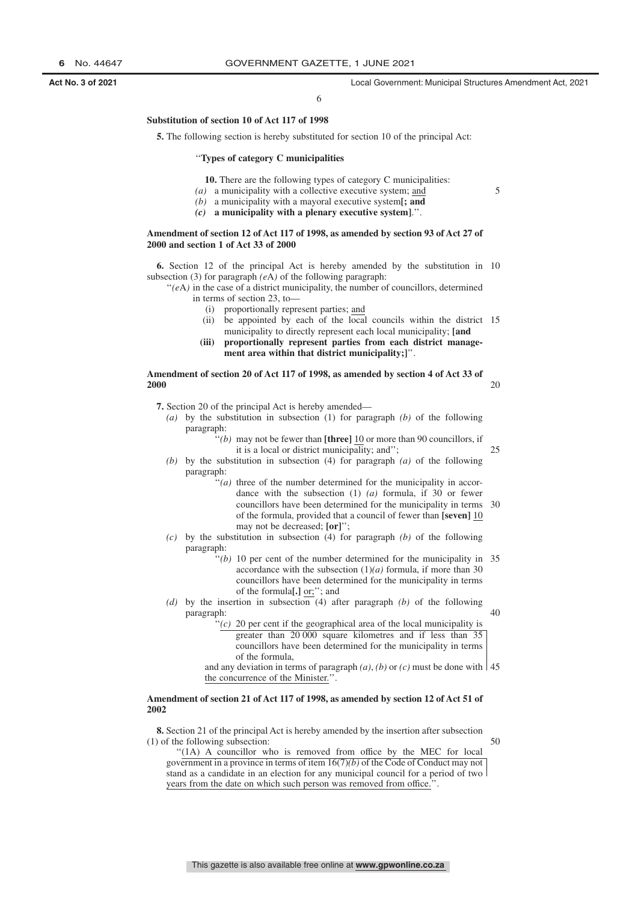6

#### **Substitution of section 10 of Act 117 of 1998**

**5.** The following section is hereby substituted for section 10 of the principal Act:

#### ''**Types of category C municipalities**

**10.** There are the following types of category C municipalities:

- *(a)* a municipality with a collective executive system; and
- *(b)* a municipality with a mayoral executive system**[; and**
- *(c)* **a municipality with a plenary executive system]**.''.

#### **Amendment of section 12 of Act 117 of 1998, as amended by section 93 of Act 27 of 2000 and section 1 of Act 33 of 2000**

**6.** Section 12 of the principal Act is hereby amended by the substitution in 10 subsection (3) for paragraph *(e*A*)* of the following paragraph:

''*(e*A*)* in the case of a district municipality, the number of councillors, determined in terms of section 23, to—

- (i) proportionally represent parties; and
- (ii) be appointed by each of the local councils within the district 15 municipality to directly represent each local municipality; **[and**
- **(iii) proportionally represent parties from each district management area within that district municipality;]**''.

#### **Amendment of section 20 of Act 117 of 1998, as amended by section 4 of Act 33 of 2000** 20

**7.** Section 20 of the principal Act is hereby amended—

- *(a)* by the substitution in subsection (1) for paragraph *(b)* of the following paragraph:
	- $'$ <sup>'</sup>(*b*) may not be fewer than  $[three]$  10 or more than 90 councillors, if it is a local or district municipality; and'';  $25$
- *(b)* by the substitution in subsection (4) for paragraph *(a)* of the following paragraph:
	- "*(a)* three of the number determined for the municipality in accordance with the subsection (1) *(a)* formula, if 30 or fewer councillors have been determined for the municipality in terms of the formula, provided that a council of fewer than **[seven]** 10 may not be decreased; **[or]**''; 30
- *(c)* by the substitution in subsection (4) for paragraph *(b)* of the following paragraph:
	- $''(b)$  10 per cent of the number determined for the municipality in 35 accordance with the subsection  $(1)(a)$  formula, if more than 30 councillors have been determined for the municipality in terms of the formula**[.]** or;''; and
- *(d)* by the insertion in subsection (4) after paragraph *(b)* of the following paragraph:
	- '(c) 20 per cent if the geographical area of the local municipality is greater than 20 000 square kilometres and if less than 35 councillors have been determined for the municipality in terms of the formula,

and any deviation in terms of paragraph  $(a)$ ,  $(b)$  or  $(c)$  must be done with  $\vert$  45 the concurrence of the Minister.'

#### **Amendment of section 21 of Act 117 of 1998, as amended by section 12 of Act 51 of 2002**

**8.** Section 21 of the principal Act is hereby amended by the insertion after subsection (1) of the following subsection:

50

40

''(1A) A councillor who is removed from office by the MEC for local government in a province in terms of item 16(7)*(b)* of the Code of Conduct may not stand as a candidate in an election for any municipal council for a period of two years from the date on which such person was removed from office.'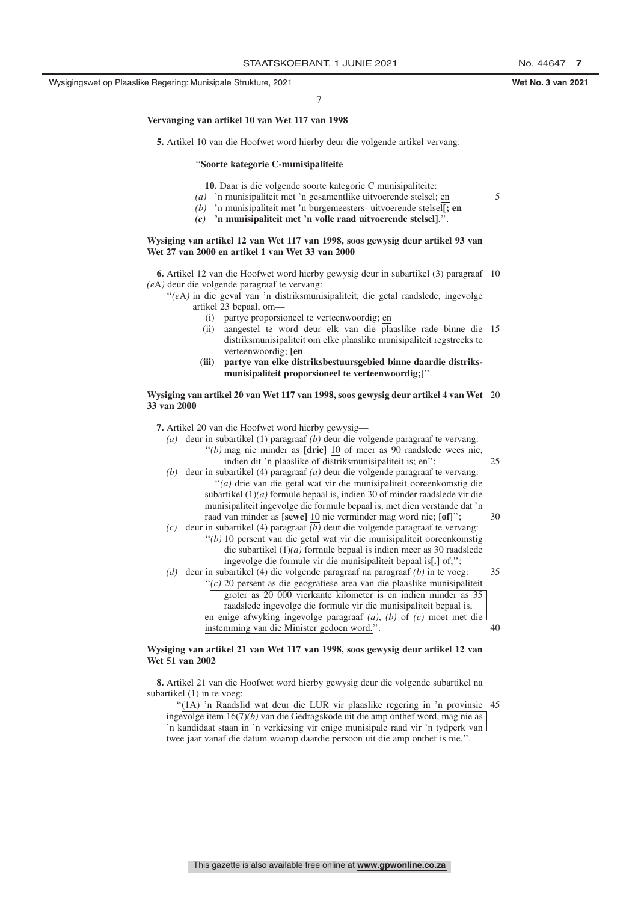Wysigingswet op Plaaslike Regering: Munisipale Strukture, 2021 **Wet No. 3 van 2021**

5

7

#### **Vervanging van artikel 10 van Wet 117 van 1998**

**5.** Artikel 10 van die Hoofwet word hierby deur die volgende artikel vervang:

#### ''**Soorte kategorie C-munisipaliteite**

**10.** Daar is die volgende soorte kategorie C munisipaliteite:

- *(a)* 'n munisipaliteit met 'n gesamentlike uitvoerende stelsel; en
- *(b)* 'n munisipaliteit met 'n burgemeesters- uitvoerende stelsel**[; en**
- *(c)* **'n munisipaliteit met 'n volle raad uitvoerende stelsel]**.''.

#### **Wysiging van artikel 12 van Wet 117 van 1998, soos gewysig deur artikel 93 van Wet 27 van 2000 en artikel 1 van Wet 33 van 2000**

**6.** Artikel 12 van die Hoofwet word hierby gewysig deur in subartikel (3) paragraaf 10 *(e*A*)* deur die volgende paragraaf te vervang:

"(eA) in die geval van 'n distriksmunisipaliteit, die getal raadslede, ingevolge artikel 23 bepaal, om—

- (i) partye proporsioneel te verteenwoordig; en
- (ii) aangestel te word deur elk van die plaaslike rade binne die 15 distriksmunisipaliteit om elke plaaslike munisipaliteit regstreeks te verteenwoordig; **[en**
- **(iii) partye van elke distriksbestuursgebied binne daardie distriksmunisipaliteit proporsioneel te verteenwoordig;]**''.

#### **Wysiging van artikel 20 van Wet 117 van 1998, soos gewysig deur artikel 4 van Wet** 20 **33 van 2000**

**7.** Artikel 20 van die Hoofwet word hierby gewysig—

| (a) | deur in subartikel $(1)$ paragraaf $(b)$ deur die volgende paragraaf te vervang: |    |
|-----|----------------------------------------------------------------------------------|----|
|     | "(b) mag nie minder as $[drie]$ 10 of meer as 90 raadslede wees nie,             |    |
|     | indien dit 'n plaaslike of distriksmunisipaliteit is; en";                       | 25 |
| (b) | deur in subartikel $(4)$ paragraaf $(a)$ deur die volgende paragraaf te vervang: |    |
|     | $"$ (a) drie van die getal wat vir die munisipaliteit ooreenkomstig die          |    |
|     | subartikel $(1)(a)$ formule bepaal is, indien 30 of minder raadslede vir die     |    |
|     | munisipaliteit ingevolge die formule bepaal is, met dien verstande dat 'n        |    |
|     | raad van minder as [sewe] 10 nie verminder mag word nie; [of]";                  | 30 |
| (c) | deur in subartikel $(4)$ paragraaf $(b)$ deur die volgende paragraaf te vervang: |    |
|     | " $(b)$ 10 persent van die getal wat vir die munisipaliteit ooreenkomstig        |    |
|     | die subartikel $(1)(a)$ formule bepaal is indien meer as 30 raadslede            |    |
|     | ingevolge die formule vir die munisipaliteit bepaal is[.] of;";                  |    |
| (d) | deur in subartikel $(4)$ die volgende paragraaf na paragraaf $(b)$ in te voeg:   | 35 |
|     | " $(c)$ 20 persent as die geografiese area van die plaaslike munisipaliteit      |    |
|     | groter as 20 000 vierkante kilometer is en indien minder as 35                   |    |
|     | raadslede ingevolge die formule vir die munisipaliteit bepaal is,                |    |
|     | en enige afwyking ingevolge paragraaf $(a)$ , $(b)$ of $(c)$ moet met die        |    |
|     | instemming van die Minister gedoen word.".                                       | 40 |
|     |                                                                                  |    |

#### **Wysiging van artikel 21 van Wet 117 van 1998, soos gewysig deur artikel 12 van Wet 51 van 2002**

**8.** Artikel 21 van die Hoofwet word hierby gewysig deur die volgende subartikel na subartikel (1) in te voeg:

"(1A) 'n Raadslid wat deur die LUR vir plaaslike regering in 'n provinsie 45 ingevolge item 16(7)*(b)* van die Gedragskode uit die amp onthef word, mag nie as 'n kandidaat staan in 'n verkiesing vir enige munisipale raad vir 'n tydperk van twee jaar vanaf die datum waarop daardie persoon uit die amp onthef is nie.''.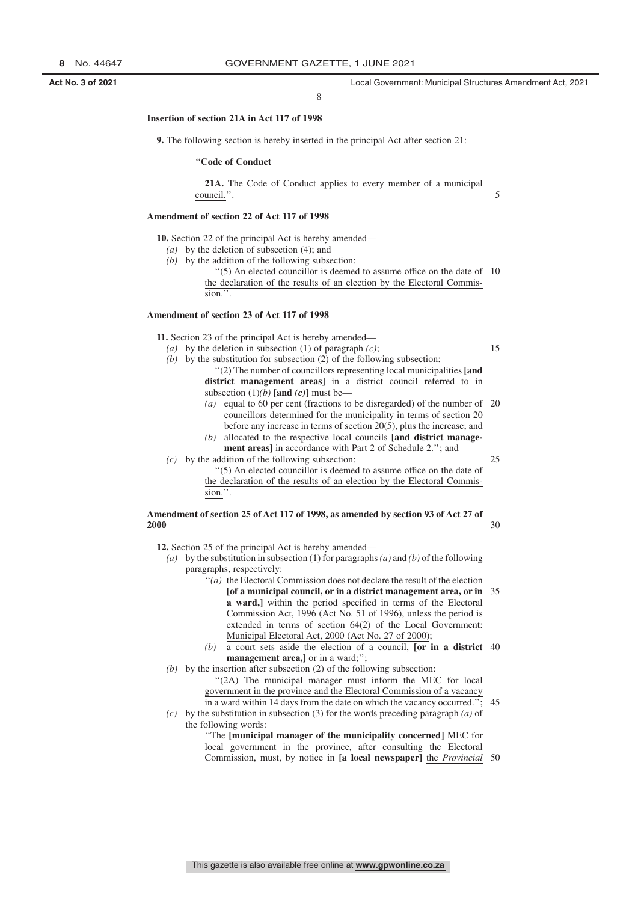8

#### **Insertion of section 21A in Act 117 of 1998**

**9.** The following section is hereby inserted in the principal Act after section 21:

#### ''**Code of Conduct**

**21A.** The Code of Conduct applies to every member of a municipal council.''.

#### **Amendment of section 22 of Act 117 of 1998**

**10.** Section 22 of the principal Act is hereby amended—

- *(a)* by the deletion of subsection (4); and
- *(b)* by the addition of the following subsection:
	- ''(5) An elected councillor is deemed to assume office on the date of 10 the declaration of the results of an election by the Electoral Commission.''.

#### **Amendment of section 23 of Act 117 of 1998**

**11.** Section 23 of the principal Act is hereby amended—

15

5

- *(a)* by the deletion in subsection (1) of paragraph *(c)*; *(b)* by the substitution for subsection (2) of the following subsection:
	- ''(2) The number of councillors representing local municipalities **[and district management areas]** in a district council referred to in subsection  $(1)(b)$  [and  $(c)$ ] must be—
		- *(a)* equal to 60 per cent (fractions to be disregarded) of the number of 20 councillors determined for the municipality in terms of section 20 before any increase in terms of section 20(5), plus the increase; and
		- *(b)* allocated to the respective local councils **[and district management areas]** in accordance with Part 2 of Schedule 2.''; and
- *(c)* by the addition of the following subsection:

25

 $30$ 

''(5) An elected councillor is deemed to assume office on the date of the declaration of the results of an election by the Electoral Commission.''.

### **Amendment of section 25 of Act 117 of 1998, as amended by section 93 of Act 27 of 2000**

**12.** Section 25 of the principal Act is hereby amended—

*(a)* by the substitution in subsection (1) for paragraphs*(a)* and *(b)* of the following paragraphs, respectively:

- ''*(a)* the Electoral Commission does not declare the result of the election **[of a municipal council, or in a district management area, or in** 35 **a ward,]** within the period specified in terms of the Electoral Commission Act, 1996 (Act No. 51 of 1996), unless the period is extended in terms of section 64(2) of the Local Government: Municipal Electoral Act, 2000 (Act No. 27 of 2000);
- *(b)* a court sets aside the election of a council, **[or in a district** 40 **management area,**] or in a ward;";
- *(b)* by the insertion after subsection (2) of the following subsection: "(2A) The municipal manager must inform the MEC for local government in the province and the Electoral Commission of a vacancy in a ward within 14 days from the date on which the vacancy occurred. 45
- *(c)* by the substitution in subsection (3) for the words preceding paragraph *(a)* of the following words:

''The **[municipal manager of the municipality concerned]** MEC for local government in the province, after consulting the Electoral Commission, must, by notice in **[a local newspaper]** the *Provincial* 50

This gazette is also available free online at **www.gpwonline.co.za**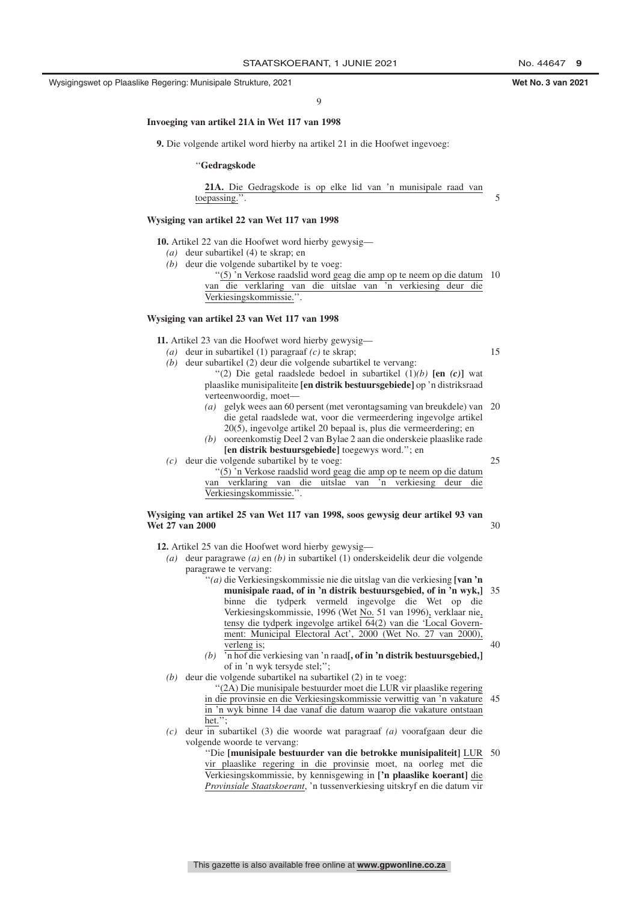$\overline{Q}$ 

#### **Invoeging van artikel 21A in Wet 117 van 1998**

**9.** Die volgende artikel word hierby na artikel 21 in die Hoofwet ingevoeg:

#### ''**Gedragskode**

**21A.** Die Gedragskode is op elke lid van 'n munisipale raad van toepassing.''.

#### **Wysiging van artikel 22 van Wet 117 van 1998**

**10.** Artikel 22 van die Hoofwet word hierby gewysig—

- *(a)* deur subartikel (4) te skrap; en
- *(b)* deur die volgende subartikel by te voeg:

''(5) 'n Verkose raadslid word geag die amp op te neem op die datum 10 van die verklaring van die uitslae van 'n verkiesing deur die Verkiesingskommissie.''.

#### **Wysiging van artikel 23 van Wet 117 van 1998**

**11.** Artikel 23 van die Hoofwet word hierby gewysig—

- *(a)* deur in subartikel (1) paragraaf *(c)* te skrap;
- *(b)* deur subartikel (2) deur die volgende subartikel te vervang:
	- ''(2) Die getal raadslede bedoel in subartikel (1)*(b)* **[en** *(c)***]** wat plaaslike munisipaliteite **[en distrik bestuursgebiede]** op 'n distriksraad verteenwoordig, moet—
		- *(a)* gelyk wees aan 60 persent (met verontagsaming van breukdele) van 20 die getal raadslede wat, voor die vermeerdering ingevolge artikel 20(5), ingevolge artikel 20 bepaal is, plus die vermeerdering; en
		- *(b)* ooreenkomstig Deel 2 van Bylae 2 aan die onderskeie plaaslike rade **[en distrik bestuursgebiede]** toegewys word.''; en
- *(c)* deur die volgende subartikel by te voeg:

25

 $30$ 

15

5

''(5) 'n Verkose raadslid word geag die amp op te neem op die datum van verklaring van die uitslae van 'n verkiesing deur die Verkiesingskommissie.''.

#### **Wysiging van artikel 25 van Wet 117 van 1998, soos gewysig deur artikel 93 van Wet 27 van 2000**

**12.** Artikel 25 van die Hoofwet word hierby gewysig—

- *(a)* deur paragrawe *(a)* en *(b)* in subartikel (1) onderskeidelik deur die volgende paragrawe te vervang:
	- ''*(a)* die Verkiesingskommissie nie die uitslag van die verkiesing **[van 'n munisipale raad, of in 'n distrik bestuursgebied, of in 'n wyk,]** 35 binne die tydperk vermeld ingevolge die Wet op die Verkiesingskommissie, 1996 (Wet No. 51 van 1996), verklaar nie, tensy die tydperk ingevolge artikel 64(2) van die 'Local Government: Municipal Electoral Act', 2000 (Wet No. 27 van 2000), verleng is; 40
	- *(b)* 'n hof die verkiesing van 'n raad**[, of in 'n distrik bestuursgebied,]** of in 'n wyk tersyde stel;'';
- *(b)* deur die volgende subartikel na subartikel (2) in te voeg:
	- ''(2A) Die munisipale bestuurder moet die LUR vir plaaslike regering in die provinsie en die Verkiesingskommissie verwittig van 'n vakature 45 in 'n wyk binne 14 dae vanaf die datum waarop die vakature ontstaan het.
- *(c)* deur in subartikel (3) die woorde wat paragraaf *(a)* voorafgaan deur die volgende woorde te vervang:
	- ''Die **[munisipale bestuurder van die betrokke munisipaliteit]** LUR 50 vir plaaslike regering in die provinsie moet, na oorleg met die Verkiesingskommissie, by kennisgewing in **['n plaaslike koerant]** die *Provinsiale Staatskoerant*, 'n tussenverkiesing uitskryf en die datum vir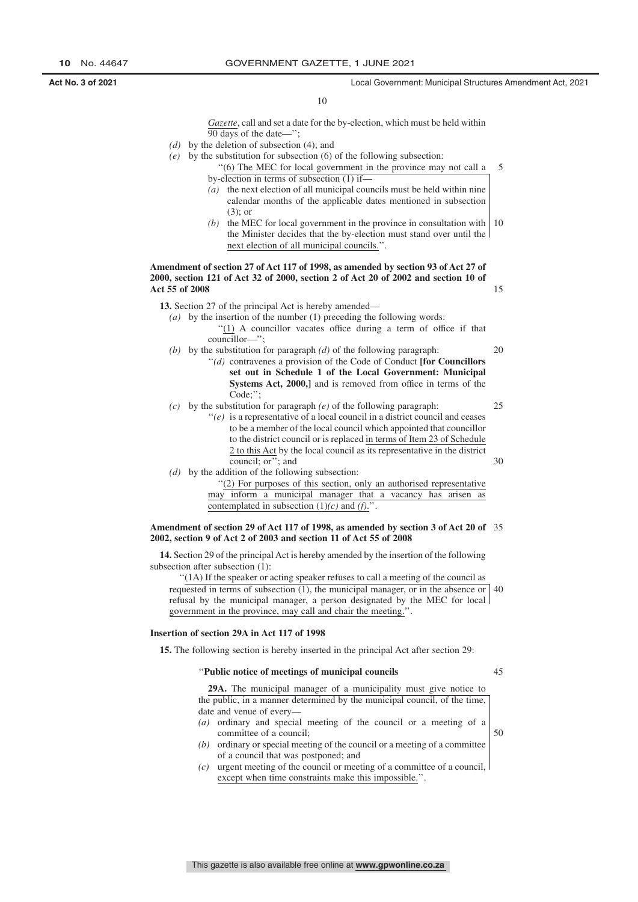15

10

*Gazette*, call and set a date for the by-election, which must be held within 90 days of the date—'';

- *(d)* by the deletion of subsection (4); and
- *(e)* by the substitution for subsection (6) of the following subsection:
	- ''(6) The MEC for local government in the province may not call a by-election in terms of subsection (1) if— 5
	- *(a)* the next election of all municipal councils must be held within nine calendar months of the applicable dates mentioned in subsection (3); or
	- *(b)* the MEC for local government in the province in consultation with the Minister decides that the by-election must stand over until the next election of all municipal councils.''. 10

**Amendment of section 27 of Act 117 of 1998, as amended by section 93 of Act 27 of 2000, section 121 of Act 32 of 2000, section 2 of Act 20 of 2002 and section 10 of Act 55 of 2008**

**13.** Section 27 of the principal Act is hereby amended—

- *(a)* by the insertion of the number (1) preceding the following words: ''(1) A councillor vacates office during a term of office if that councillor—'';
- *(b)* by the substitution for paragraph *(d)* of the following paragraph: ''*(d)* contravenes a provision of the Code of Conduct **[for Councillors set out in Schedule 1 of the Local Government: Municipal** 20
	- **Systems Act, 2000,]** and is removed from office in terms of the Code:":
- *(c)* by the substitution for paragraph *(e)* of the following paragraph: ''*(e)* is a representative of a local council in a district council and ceases to be a member of the local council which appointed that councillor to the district council or is replaced in terms of Item 23 of Schedule 2 to this Act by the local council as its representative in the district council; or''; and 25 30
- *(d)* by the addition of the following subsection:

''(2) For purposes of this section, only an authorised representative may inform a municipal manager that a vacancy has arisen as contemplated in subsection (1)*(c)* and *(f)*.''.

#### **Amendment of section 29 of Act 117 of 1998, as amended by section 3 of Act 20 of** 35 **2002, section 9 of Act 2 of 2003 and section 11 of Act 55 of 2008**

**14.** Section 29 of the principal Act is hereby amended by the insertion of the following subsection after subsection (1):

"(1A) If the speaker or acting speaker refuses to call a meeting of the council as requested in terms of subsection (1), the municipal manager, or in the absence or refusal by the municipal manager, a person designated by the MEC for local government in the province, may call and chair the meeting.''. 40

#### **Insertion of section 29A in Act 117 of 1998**

**15.** The following section is hereby inserted in the principal Act after section 29:

#### ''**Public notice of meetings of municipal councils**

45

50

**29A.** The municipal manager of a municipality must give notice to the public, in a manner determined by the municipal council, of the time, date and venue of every—

- *(a)* ordinary and special meeting of the council or a meeting of a committee of a council;
- *(b)* ordinary or special meeting of the council or a meeting of a committee of a council that was postponed; and
- *(c)* urgent meeting of the council or meeting of a committee of a council, except when time constraints make this impossible.''.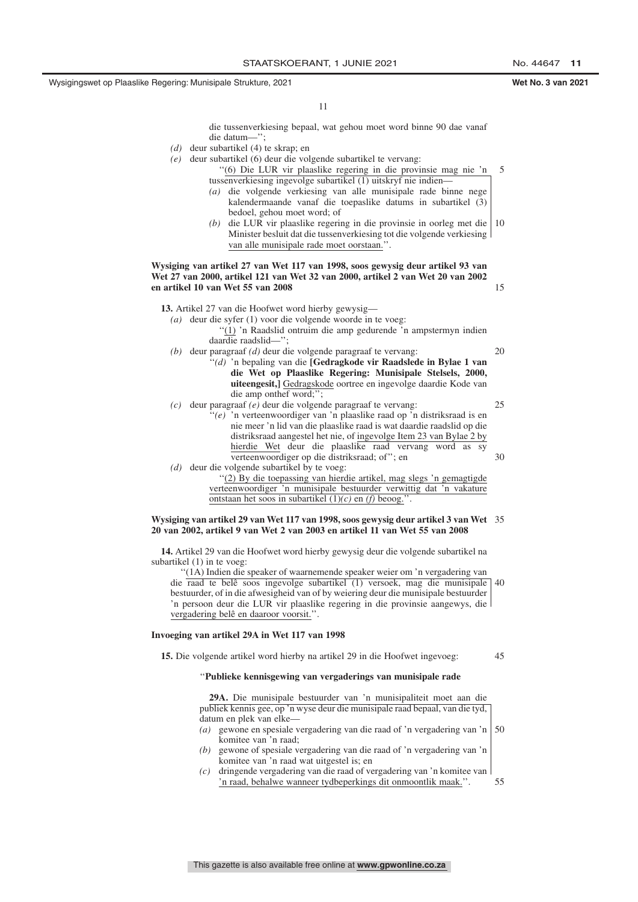15

45

11

die tussenverkiesing bepaal, wat gehou moet word binne 90 dae vanaf die datum—'';

- *(d)* deur subartikel (4) te skrap; en
- *(e)* deur subartikel (6) deur die volgende subartikel te vervang: ''(6) Die LUR vir plaaslike regering in die provinsie mag nie 'n 5
	- tussenverkiesing ingevolge subartikel (1) uitskryf nie indien— *(a)* die volgende verkiesing van alle munisipale rade binne nege kalendermaande vanaf die toepaslike datums in subartikel (3) bedoel, gehou moet word; of
	- *(b)* die LUR vir plaaslike regering in die provinsie in oorleg met die Minister besluit dat die tussenverkiesing tot die volgende verkiesing van alle munisipale rade moet oorstaan." 10

**Wysiging van artikel 27 van Wet 117 van 1998, soos gewysig deur artikel 93 van Wet 27 van 2000, artikel 121 van Wet 32 van 2000, artikel 2 van Wet 20 van 2002 en artikel 10 van Wet 55 van 2008**

**13.** Artikel 27 van die Hoofwet word hierby gewysig—

- *(a)* deur die syfer (1) voor die volgende woorde in te voeg: ''(1) 'n Raadslid ontruim die amp gedurende 'n ampstermyn indien daardie raadslid—''; *(b)* deur paragraaf *(d)* deur die volgende paragraaf te vervang: ''*(d)* 'n bepaling van die **[Gedragkode vir Raadslede in Bylae 1 van die Wet op Plaaslike Regering: Munisipale Stelsels, 2000, uiteengesit,]** Gedragskode oortree en ingevolge daardie Kode van die amp onthef word;''; *(c)* deur paragraaf *(e)* deur die volgende paragraaf te vervang: 20 25
- ''*(e)* 'n verteenwoordiger van 'n plaaslike raad op 'n distriksraad is en nie meer 'n lid van die plaaslike raad is wat daardie raadslid op die distriksraad aangestel het nie, of ingevolge Item 23 van Bylae 2 by hierdie Wet deur die plaaslike raad vervang word as sy verteenwoordiger op die distriksraad; of''; en *(d)* deur die volgende subartikel by te voeg: ''(2) By die toepassing van hierdie artikel, mag slegs 'n gemagtigde 30
	- verteenwoordiger 'n munisipale bestuurder verwittig dat 'n vakature ontstaan het soos in subartikel (1)*(c)* en *(f)* beoog.''.

#### **Wysiging van artikel 29 van Wet 117 van 1998, soos gewysig deur artikel 3 van Wet** 35 **20 van 2002, artikel 9 van Wet 2 van 2003 en artikel 11 van Wet 55 van 2008**

**14.** Artikel 29 van die Hoofwet word hierby gewysig deur die volgende subartikel na subartikel (1) in te voeg:

''(1A) Indien die speaker of waarnemende speaker weier om 'n vergadering van die raad te belê soos ingevolge subartikel (1) versoek, mag die munisipale 40 bestuurder, of in die afwesigheid van of by weiering deur die munisipale bestuurder 'n persoon deur die LUR vir plaaslike regering in die provinsie aangewys, die vergadering belê en daaroor voorsit.''.

#### **Invoeging van artikel 29A in Wet 117 van 1998**

**15.** Die volgende artikel word hierby na artikel 29 in die Hoofwet ingevoeg:

#### ''**Publieke kennisgewing van vergaderings van munisipale rade**

**29A.** Die munisipale bestuurder van 'n munisipaliteit moet aan die publiek kennis gee, op 'n wyse deur die munisipale raad bepaal, van die tyd, datum en plek van elke—

- *(a)* gewone en spesiale vergadering van die raad of 'n vergadering van 'n komitee van 'n raad; 50
- *(b)* gewone of spesiale vergadering van die raad of 'n vergadering van 'n komitee van 'n raad wat uitgestel is; en
- *(c)* dringende vergadering van die raad of vergadering van 'n komitee van 'n raad, behalwe wanneer tydbeperkings dit onmoontlik maak.''. 55

This gazette is also available free online at **www.gpwonline.co.za**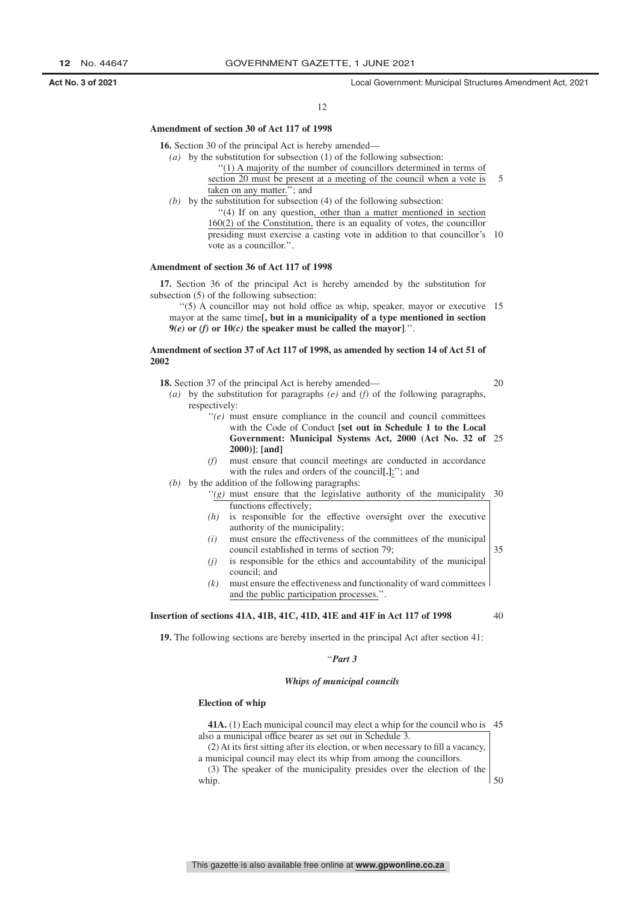12

#### **Amendment of section 30 of Act 117 of 1998**

**16.** Section 30 of the principal Act is hereby amended—

- *(a)* by the substitution for subsection (1) of the following subsection:
	- ''(1) A majority of the number of councillors determined in terms of
		- section 20 must be present at a meeting of the council when a vote is taken on any matter.''; and 5
- *(b)* by the substitution for subsection (4) of the following subsection: ''(4) If on any question, other than a matter mentioned in section 160(2) of the Constitution, there is an equality of votes, the councillor presiding must exercise a casting vote in addition to that councillor's 10

#### **Amendment of section 36 of Act 117 of 1998**

vote as a councillor.''.

**17.** Section 36 of the principal Act is hereby amended by the substitution for subsection (5) of the following subsection:

"(5) A councillor may not hold office as whip, speaker, mayor or executive 15 mayor at the same time**[, but in a municipality of a type mentioned in section**  $9(e)$  or *(f)* or  $10(c)$  the speaker must be called the mayor].".

#### **Amendment of section 37 of Act 117 of 1998, as amended by section 14 of Act 51 of 2002**

**18.** Section 37 of the principal Act is hereby amended—

- *(a)* by the substitution for paragraphs *(e)* and *(f)* of the following paragraphs, respectively:
	- ''*(e)* must ensure compliance in the council and council committees with the Code of Conduct **[set out in Schedule 1 to the Local Government: Municipal Systems Act, 2000 (Act No. 32 of** 25 **2000)]**; **[and]**
	- *(f)* must ensure that council meetings are conducted in accordance with the rules and orders of the council**[.]**;''; and
- *(b)* by the addition of the following paragraphs:
	- $''(g)$  must ensure that the legislative authority of the municipality 30 functions effectively;
	- *(h)* is responsible for the effective oversight over the executive authority of the municipality;
	- *(i)* must ensure the effectiveness of the committees of the municipal council established in terms of section 79;
	- *(j)* is responsible for the ethics and accountability of the municipal council; and
	- *(k)* must ensure the effectiveness and functionality of ward committees and the public participation processes.''.

#### **Insertion of sections 41A, 41B, 41C, 41D, 41E and 41F in Act 117 of 1998**

40

35

20

**19.** The following sections are hereby inserted in the principal Act after section 41:

#### ''*Part 3*

#### *Whips of municipal councils*

#### **Election of whip**

| <b>41A.</b> (1) Each municipal council may elect a whip for the council who is 45 |  |
|-----------------------------------------------------------------------------------|--|
| also a municipal office bearer as set out in Schedule 3.                          |  |
| (2) At its first sitting after its election, or when necessary to fill a vacancy, |  |
| a municipal council may elect its whip from among the council lors.               |  |
| (3) The speaker of the municipality presides over the election of the $\vert$     |  |
| whip.                                                                             |  |
|                                                                                   |  |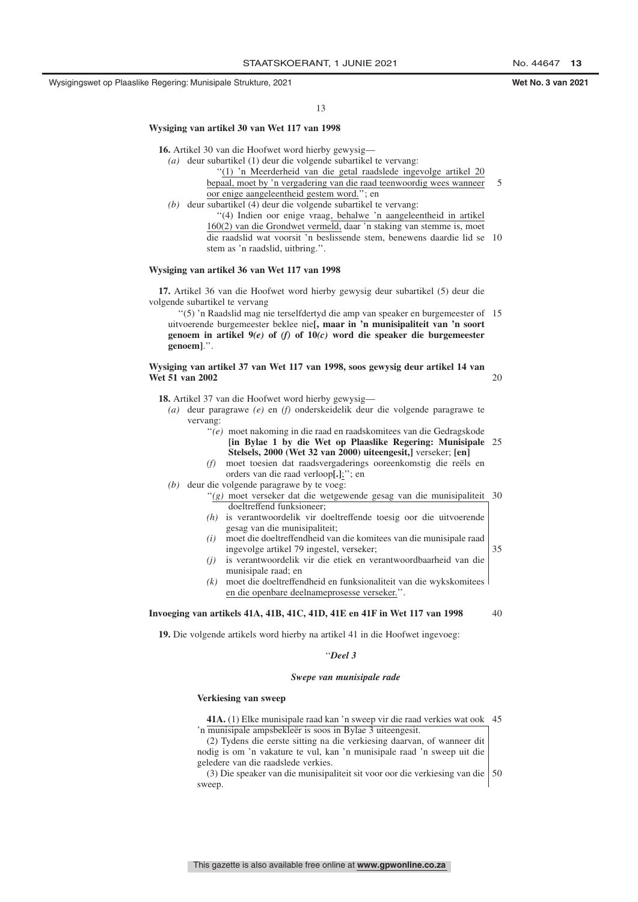13

#### **Wysiging van artikel 30 van Wet 117 van 1998**

**16.** Artikel 30 van die Hoofwet word hierby gewysig—

- *(a)* deur subartikel (1) deur die volgende subartikel te vervang:
	- ''(1) 'n Meerderheid van die getal raadslede ingevolge artikel 20
		- bepaal, moet by 'n vergadering van die raad teenwoordig wees wanneer oor enige aangeleentheid gestem word.''; en 5
- *(b)* deur subartikel (4) deur die volgende subartikel te vervang: ''(4) Indien oor enige vraag, behalwe 'n aangeleentheid in artikel 160(2) van die Grondwet vermeld, daar 'n staking van stemme is, moet die raadslid wat voorsit 'n beslissende stem, benewens daardie lid se 10 stem as 'n raadslid, uitbring.''.

#### **Wysiging van artikel 36 van Wet 117 van 1998**

**17.** Artikel 36 van die Hoofwet word hierby gewysig deur subartikel (5) deur die volgende subartikel te vervang

''(5) 'n Raadslid mag nie terselfdertyd die amp van speaker en burgemeester of 15 uitvoerende burgemeester beklee nie**[, maar in 'n munisipaliteit van 'n soort genoem in artikel 9***(e)* **of** *(f)* **of 10***(c)* **word die speaker die burgemeester genoem]**.''.

#### **Wysiging van artikel 37 van Wet 117 van 1998, soos gewysig deur artikel 14 van Wet 51 van 2002**

**18.** Artikel 37 van die Hoofwet word hierby gewysig—

*(a)* deur paragrawe *(e)* en *(f)* onderskeidelik deur die volgende paragrawe te vervang:

- ''*(e)* moet nakoming in die raad en raadskomitees van die Gedragskode **[in Bylae 1 by die Wet op Plaaslike Regering: Munisipale** 25 **Stelsels, 2000 (Wet 32 van 2000) uiteengesit,]** verseker; **[en]**
- *(f)* moet toesien dat raadsvergaderings ooreenkomstig die reëls en orders van die raad verloop**[.]**;''; en
- *(b)* deur die volgende paragrawe by te voeg:
	- ''*(g)* moet verseker dat die wetgewende gesag van die munisipaliteit 30 doeltreffend funksioneer;
	- *(h)* is verantwoordelik vir doeltreffende toesig oor die uitvoerende gesag van die munisipaliteit;
	- *(i)* moet die doeltreffendheid van die komitees van die munisipale raad ingevolge artikel 79 ingestel, verseker; 35
	- *(j)* is verantwoordelik vir die etiek en verantwoordbaarheid van die munisipale raad; en
	- *(k)* moet die doeltreffendheid en funksionaliteit van die wykskomitees en die openbare deelnameprosesse verseker.''.

#### **Invoeging van artikels 41A, 41B, 41C, 41D, 41E en 41F in Wet 117 van 1998**

40

 $20$ 

**19.** Die volgende artikels word hierby na artikel 41 in die Hoofwet ingevoeg:

#### ''*Deel 3*

#### *Swepe van munisipale rade*

#### **Verkiesing van sweep**

**41A.** (1) Elke munisipale raad kan 'n sweep vir die raad verkies wat ook 45 'n munisipale ampsbekleër is soos in Bylae 3 uiteengesit.

(2) Tydens die eerste sitting na die verkiesing daarvan, of wanneer dit nodig is om 'n vakature te vul, kan 'n munisipale raad 'n sweep uit die geledere van die raadslede verkies.

(3) Die speaker van die munisipaliteit sit voor oor die verkiesing van die 50 sweep.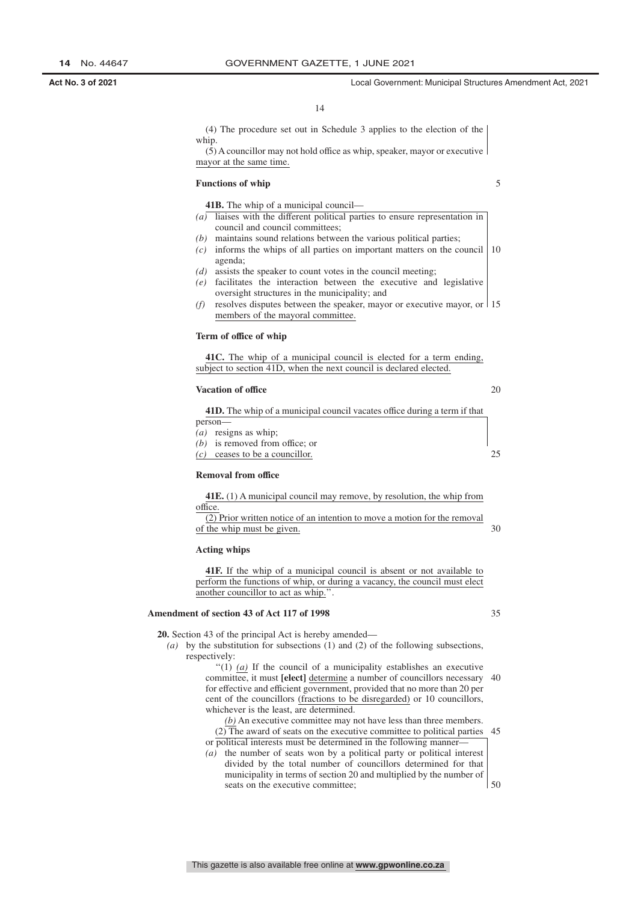(4) The procedure set out in Schedule 3 applies to the election of the whip.  $(5)$  A councillor may not hold office as whip, speaker, mayor or executive mayor at the same time.

#### **Functions of whip**

5

20

**41B.** The whip of a municipal council— *(a)* liaises with the different political parties to ensure representation in council and council committees;

- *(b)* maintains sound relations between the various political parties;
- $(c)$  informs the whips of all parties on important matters on the council 10 agenda;
- *(d)* assists the speaker to count votes in the council meeting;
- *(e)* facilitates the interaction between the executive and legislative oversight structures in the municipality; and
- *(f)* resolves disputes between the speaker, mayor or executive mayor, or 15 members of the mayoral committee.

#### **Term of office of whip**

**41C.** The whip of a municipal council is elected for a term ending, subject to section 41D, when the next council is declared elected.

#### **Vacation of office**

| <b>41D.</b> The whip of a municipal council vacates office during a term if that |  |
|----------------------------------------------------------------------------------|--|
| person-                                                                          |  |
| $(a)$ resigns as whip;                                                           |  |
| $(b)$ is removed from office; or                                                 |  |
| $(c)$ ceases to be a councillor.                                                 |  |
|                                                                                  |  |

### **Removal from office**

| <b>41E.</b> (1) A municipal council may remove, by resolution, the whip from |  |
|------------------------------------------------------------------------------|--|
| office.                                                                      |  |
| (2) Prior written notice of an intention to move a motion for the removal    |  |
| of the whip must be given.                                                   |  |

#### **Acting whips**

**41F.** If the whip of a municipal council is absent or not available to perform the functions of whip, or during a vacancy, the council must elect another councillor to act as whip.''.

#### **Amendment of section 43 of Act 117 of 1998**

**20.** Section 43 of the principal Act is hereby amended—

*(a)* by the substitution for subsections (1) and (2) of the following subsections, respectively:

> $''(1)$  *(a)* If the council of a municipality establishes an executive committee, it must **[elect]** determine a number of councillors necessary 40 for effective and efficient government, provided that no more than 20 per cent of the councillors (fractions to be disregarded) or 10 councillors, whichever is the least, are determined.

> *(b)* An executive committee may not have less than three members.  $(2)$  The award of seats on the executive committee to political parties or political interests must be determined in the following manner-45

*(a)* the number of seats won by a political party or political interest divided by the total number of councillors determined for that municipality in terms of section 20 and multiplied by the number of seats on the executive committee;

50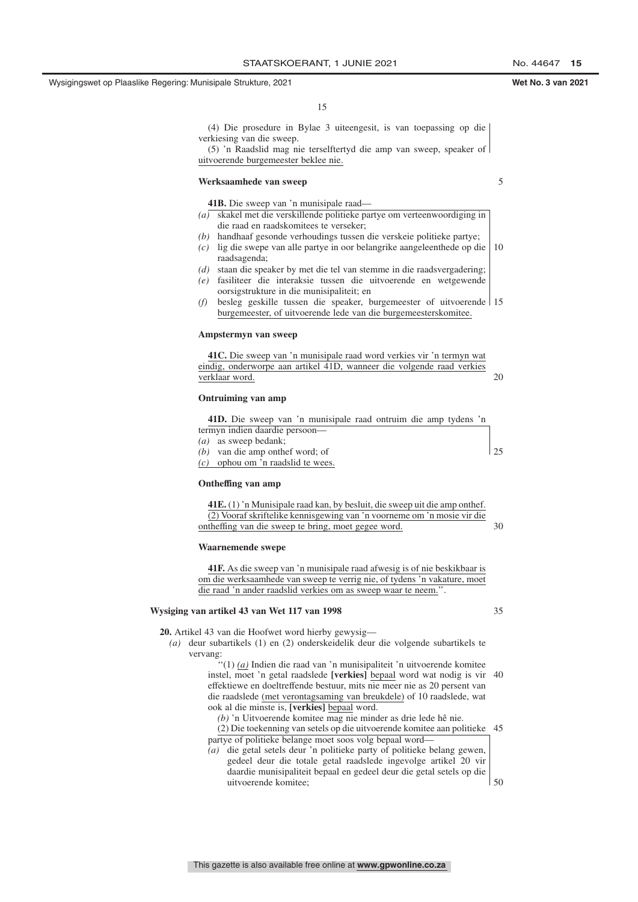15

(4) Die prosedure in Bylae 3 uiteengesit, is van toepassing op die verkiesing van die sweep.

(5) 'n Raadslid mag nie terselftertyd die amp van sweep, speaker of uitvoerende burgemeester beklee nie.

#### **Werksaamhede van sweep**

5

- **41B.** Die sweep van 'n munisipale raad— *(a)* skakel met die verskillende politieke partye om verteenwoordiging in
- die raad en raadskomitees te verseker; *(b)* handhaaf gesonde verhoudings tussen die verskeie politieke partye;
- *(c)* lig die swepe van alle partye in oor belangrike aangeleenthede op die 10 raadsagenda;
- *(d)* staan die speaker by met die tel van stemme in die raadsvergadering;
- *(e)* fasiliteer die interaksie tussen die uitvoerende en wetgewende oorsigstrukture in die munisipaliteit; en
- *(f)* besleg geskille tussen die speaker, burgemeester of uitvoerende 15 burgemeester, of uitvoerende lede van die burgemeesterskomitee.

#### **Ampstermyn van sweep**

| 41C. Die sweep van 'n munisipale raad word verkies vir 'n termyn wat  |  |
|-----------------------------------------------------------------------|--|
| eindig, onderworpe aan artikel 41D, wanneer die volgende raad verkies |  |
| verklaar word.                                                        |  |

#### **Ontruiming van amp**

| 41D. Die sweep van 'n munisipale raad ontruim die amp tydens 'n |  |
|-----------------------------------------------------------------|--|
| termyn indien daardie persoon-                                  |  |
| $(a)$ as sweep bedank;                                          |  |
| $(b)$ van die amp onthef word; of                               |  |
| $(c)$ ophou om 'n raadslid te wees.                             |  |
|                                                                 |  |

#### **Ontheffing van amp**

| <b>41E.</b> (1) 'n Munisipale raad kan, by besluit, die sweep uit die amp onthef. |    |
|-----------------------------------------------------------------------------------|----|
| (2) Vooraf skriftelike kennisgewing van 'n voorneme om 'n mosie vir die           |    |
| ontheffing van die sweep te bring, moet gegee word.                               | 30 |

#### **Waarnemende swepe**

**41F.** As die sweep van 'n munisipale raad afwesig is of nie beskikbaar is om die werksaamhede van sweep te verrig nie, of tydens 'n vakature, moet die raad 'n ander raadslid verkies om as sweep waar te neem.''.

#### **Wysiging van artikel 43 van Wet 117 van 1998**

**20.** Artikel 43 van die Hoofwet word hierby gewysig—

*(a)* deur subartikels (1) en (2) onderskeidelik deur die volgende subartikels te vervang:

''(1) *(a)* Indien die raad van 'n munisipaliteit 'n uitvoerende komitee instel, moet 'n getal raadslede **[verkies]** bepaal word wat nodig is vir 40 effektiewe en doeltreffende bestuur, mits nie meer nie as 20 persent van die raadslede (met verontagsaming van breukdele) of 10 raadslede, wat ook al die minste is, **[verkies]** bepaal word.

*(b)* 'n Uitvoerende komitee mag nie minder as drie lede hê nie.

(2) Die toekenning van setels op die uitvoerende komitee aan politieke 45 partye of politieke belange moet soos volg bepaal word—

*(a)* die getal setels deur 'n politieke party of politieke belang gewen, gedeel deur die totale getal raadslede ingevolge artikel 20 vir daardie munisipaliteit bepaal en gedeel deur die getal setels op die uitvoerende komitee;  $\frac{1}{50}$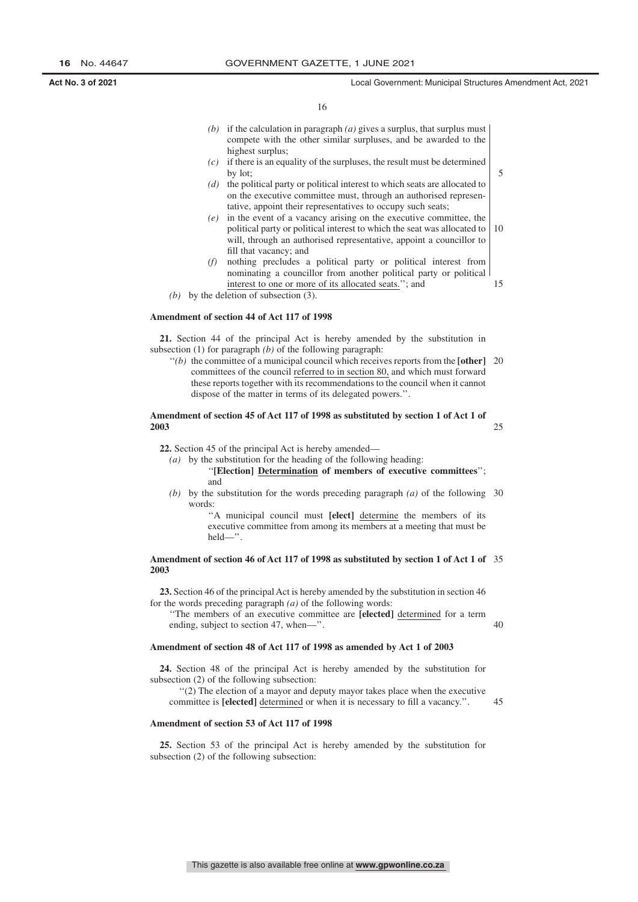5

25

40

45

16

- *(b)* if the calculation in paragraph *(a)* gives a surplus, that surplus must compete with the other similar surpluses, and be awarded to the highest surplus;
- *(c)* if there is an equality of the surpluses, the result must be determined by lot;
- *(d)* the political party or political interest to which seats are allocated to on the executive committee must, through an authorised representative, appoint their representatives to occupy such seats;
- *(e)* in the event of a vacancy arising on the executive committee, the political party or political interest to which the seat was allocated to will, through an authorised representative, appoint a councillor to fill that vacancy; and 10
- *(f)* nothing precludes a political party or political interest from nominating a councillor from another political party or political interest to one or more of its allocated seats.''; and 15
- *(b)* by the deletion of subsection (3).

#### **Amendment of section 44 of Act 117 of 1998**

**21.** Section 44 of the principal Act is hereby amended by the substitution in subsection (1) for paragraph *(b)* of the following paragraph:

"(b) the committee of a municipal council which receives reports from the [other] 20 committees of the council referred to in section 80, and which must forward these reports together with its recommendations to the council when it cannot dispose of the matter in terms of its delegated powers.''.

#### **Amendment of section 45 of Act 117 of 1998 as substituted by section 1 of Act 1 of 2003**

**22.** Section 45 of the principal Act is hereby amended—

*(a)* by the substitution for the heading of the following heading:

''**[Election] Determination of members of executive committees**''; and

*(b)* by the substitution for the words preceding paragraph *(a)* of the following 30 words:

''A municipal council must **[elect]** determine the members of its executive committee from among its members at a meeting that must be held—''.

#### **Amendment of section 46 of Act 117 of 1998 as substituted by section 1 of Act 1 of** 35 **2003**

**23.** Section 46 of the principal Act is hereby amended by the substitution in section 46 for the words preceding paragraph *(a)* of the following words:

''The members of an executive committee are **[elected]** determined for a term ending, subject to section 47, when—''.

#### **Amendment of section 48 of Act 117 of 1998 as amended by Act 1 of 2003**

**24.** Section 48 of the principal Act is hereby amended by the substitution for subsection (2) of the following subsection:

''(2) The election of a mayor and deputy mayor takes place when the executive committee is **[elected]** determined or when it is necessary to fill a vacancy.''.

#### **Amendment of section 53 of Act 117 of 1998**

**25.** Section 53 of the principal Act is hereby amended by the substitution for subsection (2) of the following subsection: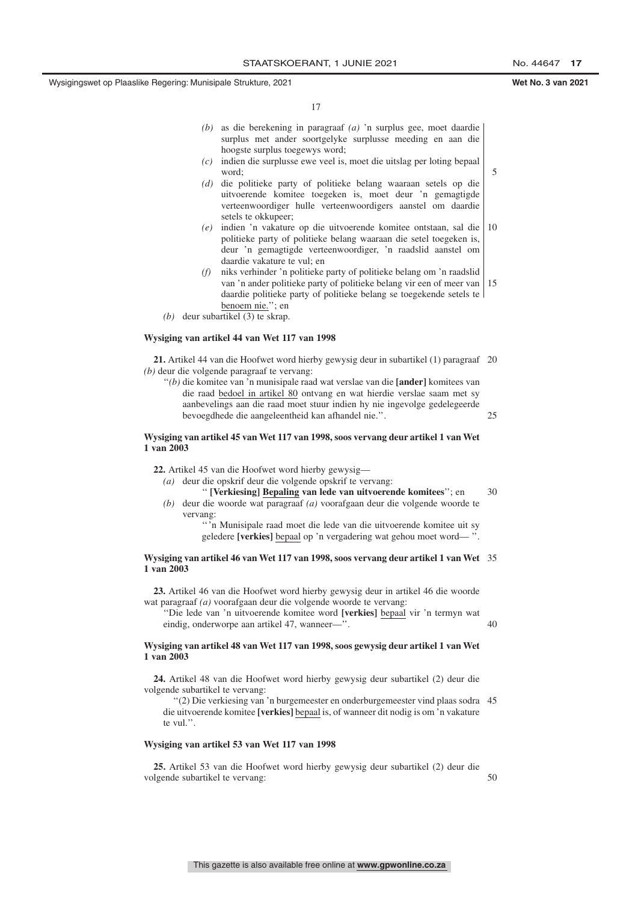5

17

- *(b)* as die berekening in paragraaf *(a)* 'n surplus gee, moet daardie surplus met ander soortgelyke surplusse meeding en aan die hoogste surplus toegewys word;
- *(c)* indien die surplusse ewe veel is, moet die uitslag per loting bepaal word;
- *(d)* die politieke party of politieke belang waaraan setels op die uitvoerende komitee toegeken is, moet deur 'n gemagtigde verteenwoordiger hulle verteenwoordigers aanstel om daardie setels te okkupeer;
- *(e)* indien 'n vakature op die uitvoerende komitee ontstaan, sal die politieke party of politieke belang waaraan die setel toegeken is, deur 'n gemagtigde verteenwoordiger, 'n raadslid aanstel om daardie vakature te vul; en 10
- *(f)* niks verhinder 'n politieke party of politieke belang om 'n raadslid van 'n ander politieke party of politieke belang vir een of meer van daardie politieke party of politieke belang se toegekende setels te benoem nie.''; en 15
- *(b)* deur subartikel (3) te skrap.

#### **Wysiging van artikel 44 van Wet 117 van 1998**

**21.** Artikel 44 van die Hoofwet word hierby gewysig deur in subartikel (1) paragraaf 20 *(b)* deur die volgende paragraaf te vervang:

''*(b)* die komitee van 'n munisipale raad wat verslae van die **[ander]** komitees van die raad bedoel in artikel 80 ontvang en wat hierdie verslae saam met sy aanbevelings aan die raad moet stuur indien hy nie ingevolge gedelegeerde bevoegdhede die aangeleentheid kan afhandel nie.''. 25

#### **Wysiging van artikel 45 van Wet 117 van 1998, soos vervang deur artikel 1 van Wet 1 van 2003**

**22.** Artikel 45 van die Hoofwet word hierby gewysig—

*(a)* deur die opskrif deur die volgende opskrif te vervang:

'' **[Verkiesing] Bepaling van lede van uitvoerende komitees**''; en *(b)* deur die woorde wat paragraaf *(a)* voorafgaan deur die volgende woorde te vervang: 30

> '' 'n Munisipale raad moet die lede van die uitvoerende komitee uit sy geledere **[verkies]** bepaal op 'n vergadering wat gehou moet word— ''.

#### **Wysiging van artikel 46 van Wet 117 van 1998, soos vervang deur artikel 1 van Wet** 35 **1 van 2003**

**23.** Artikel 46 van die Hoofwet word hierby gewysig deur in artikel 46 die woorde wat paragraaf *(a)* voorafgaan deur die volgende woorde te vervang:

''Die lede van 'n uitvoerende komitee word **[verkies]** bepaal vir 'n termyn wat eindig, onderworpe aan artikel 47, wanneer-

#### **Wysiging van artikel 48 van Wet 117 van 1998, soos gewysig deur artikel 1 van Wet 1 van 2003**

**24.** Artikel 48 van die Hoofwet word hierby gewysig deur subartikel (2) deur die volgende subartikel te vervang:

''(2) Die verkiesing van 'n burgemeester en onderburgemeester vind plaas sodra 45 die uitvoerende komitee **[verkies]** bepaal is, of wanneer dit nodig is om 'n vakature te vul.''.

#### **Wysiging van artikel 53 van Wet 117 van 1998**

**25.** Artikel 53 van die Hoofwet word hierby gewysig deur subartikel (2) deur die volgende subartikel te vervang:

50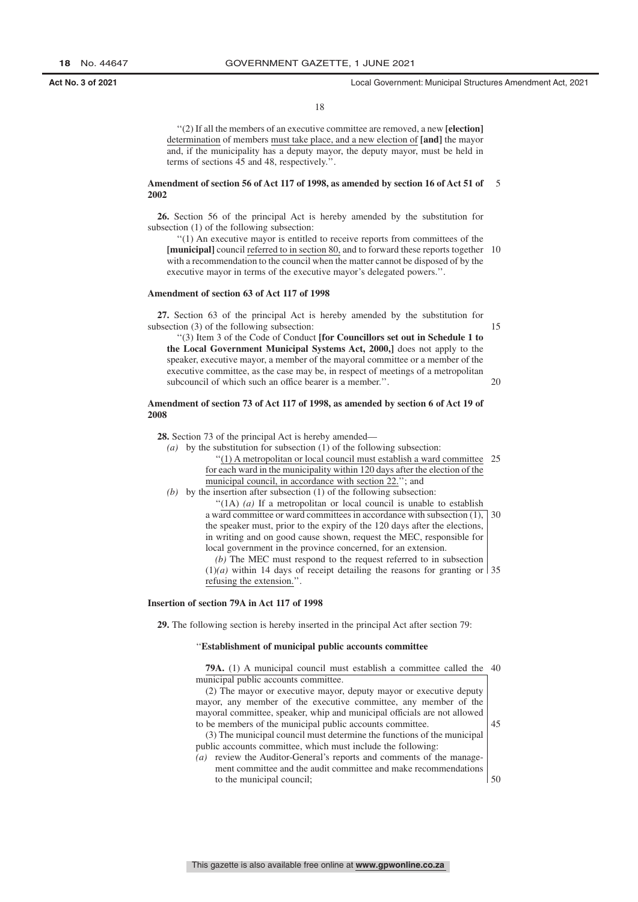#### 18

''(2) If all the members of an executive committee are removed, a new **[election]** determination of members must take place, and a new election of **[and]** the mayor and, if the municipality has a deputy mayor, the deputy mayor, must be held in terms of sections 45 and 48, respectively.''.

#### **Amendment of section 56 of Act 117 of 1998, as amended by section 16 of Act 51 of** 5 **2002**

**26.** Section 56 of the principal Act is hereby amended by the substitution for subsection (1) of the following subsection:

''(1) An executive mayor is entitled to receive reports from committees of the **[municipal]** council referred to in section 80, and to forward these reports together with a recommendation to the council when the matter cannot be disposed of by the executive mayor in terms of the executive mayor's delegated powers.''. 10

#### **Amendment of section 63 of Act 117 of 1998**

**27.** Section 63 of the principal Act is hereby amended by the substitution for subsection (3) of the following subsection:

15

20

''(3) Item 3 of the Code of Conduct **[for Councillors set out in Schedule 1 to the Local Government Municipal Systems Act, 2000,]** does not apply to the speaker, executive mayor, a member of the mayoral committee or a member of the executive committee, as the case may be, in respect of meetings of a metropolitan subcouncil of which such an office bearer is a member.''.

#### **Amendment of section 73 of Act 117 of 1998, as amended by section 6 of Act 19 of 2008**

**28.** Section 73 of the principal Act is hereby amended—

*(a)* by the substitution for subsection (1) of the following subsection:

''(1) A metropolitan or local council must establish a ward committee 25 for each ward in the municipality within 120 days after the election of the municipal council, in accordance with section 22.''; and

*(b)* by the insertion after subsection (1) of the following subsection:

''(1A) *(a)* If a metropolitan or local council is unable to establish a ward committee or ward committees in accordance with subsection (1), 30 the speaker must, prior to the expiry of the 120 days after the elections, in writing and on good cause shown, request the MEC, responsible for local government in the province concerned, for an extension. *(b)* The MEC must respond to the request referred to in subsection

 $(1)(a)$  within 14 days of receipt detailing the reasons for granting or 35 refusing the extension.''.

#### **Insertion of section 79A in Act 117 of 1998**

**29.** The following section is hereby inserted in the principal Act after section 79:

#### ''**Establishment of municipal public accounts committee**

| <b>79A.</b> (1) A municipal council must establish a committee called the 40 |    |
|------------------------------------------------------------------------------|----|
| municipal public accounts committee.                                         |    |
| (2) The mayor or executive mayor, deputy mayor or executive deputy           |    |
| mayor, any member of the executive committee, any member of the              |    |
| mayoral committee, speaker, whip and municipal officials are not allowed     |    |
| to be members of the municipal public accounts committee.                    | 45 |
| (3) The municipal council must determine the functions of the municipal      |    |
| public accounts committee, which must include the following:                 |    |
| (a) review the Auditor-General's reports and comments of the manage-         |    |
| ment committee and the audit committee and make recommendations              |    |
| to the municipal council;                                                    |    |
|                                                                              |    |
|                                                                              |    |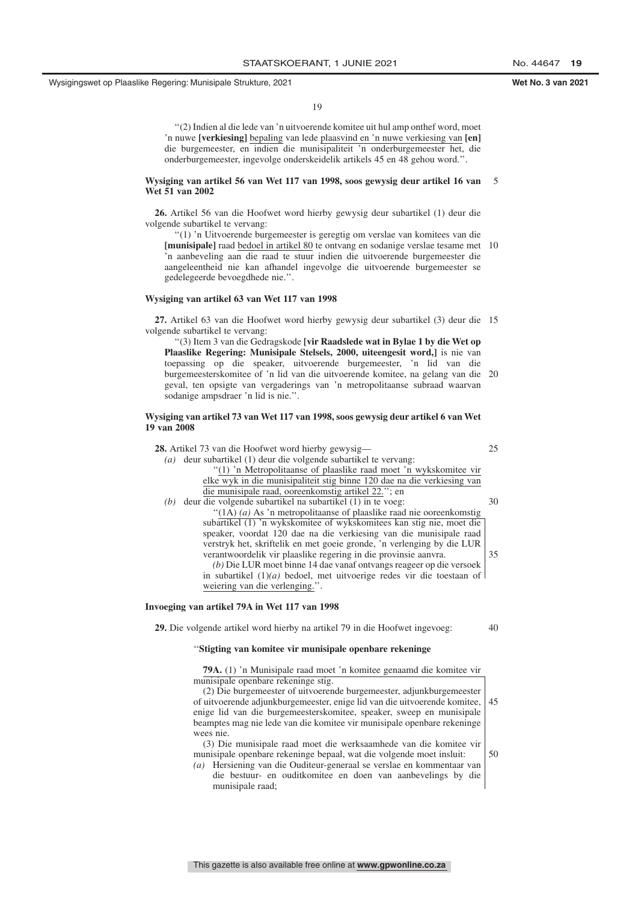19

''(2) Indien al die lede van 'n uitvoerende komitee uit hul amp onthef word, moet 'n nuwe **[verkiesing]** bepaling van lede plaasvind en 'n nuwe verkiesing van **[en]** die burgemeester, en indien die munisipaliteit 'n onderburgemeester het, die onderburgemeester, ingevolge onderskeidelik artikels 45 en 48 gehou word.''.

#### **Wysiging van artikel 56 van Wet 117 van 1998, soos gewysig deur artikel 16 van Wet 51 van 2002** 5

**26.** Artikel 56 van die Hoofwet word hierby gewysig deur subartikel (1) deur die volgende subartikel te vervang:

''(1) 'n Uitvoerende burgemeester is geregtig om verslae van komitees van die **[munisipale]** raad bedoel in artikel 80 te ontvang en sodanige verslae tesame met 10 'n aanbeveling aan die raad te stuur indien die uitvoerende burgemeester die aangeleentheid nie kan afhandel ingevolge die uitvoerende burgemeester se gedelegeerde bevoegdhede nie.''.

#### **Wysiging van artikel 63 van Wet 117 van 1998**

**27.** Artikel 63 van die Hoofwet word hierby gewysig deur subartikel (3) deur die 15 volgende subartikel te vervang:

''(3) Item 3 van die Gedragskode **[vir Raadslede wat in Bylae 1 by die Wet op Plaaslike Regering: Munisipale Stelsels, 2000, uiteengesit word,]** is nie van toepassing op die speaker, uitvoerende burgemeester, 'n lid van die burgemeesterskomitee of 'n lid van die uitvoerende komitee, na gelang van die 20 geval, ten opsigte van vergaderings van 'n metropolitaanse subraad waarvan sodanige ampsdraer 'n lid is nie.''.

#### **Wysiging van artikel 73 van Wet 117 van 1998, soos gewysig deur artikel 6 van Wet 19 van 2008**

**28.** Artikel 73 van die Hoofwet word hierby gewysig— *(a)* deur subartikel (1) deur die volgende subartikel te vervang: ''(1) 'n Metropolitaanse of plaaslike raad moet 'n wykskomitee vir elke wyk in die munisipaliteit stig binne 120 dae na die verkiesing van die munisipale raad, ooreenkomstig artikel 22.''; en *(b)* deur die volgende subartikel na subartikel (1) in te voeg: ''(1A) *(a)* As 'n metropolitaanse of plaaslike raad nie ooreenkomstig subartikel (1) 'n wykskomitee of wykskomitees kan stig nie, moet die 25

> speaker, voordat 120 dae na die verkiesing van die munisipale raad verstryk het, skriftelik en met goeie gronde, 'n verlenging by die LUR verantwoordelik vir plaaslike regering in die provinsie aanvra. *(b)* Die LUR moet binne 14 dae vanaf ontvangs reageer op die versoek in subartikel (1)*(a)* bedoel, met uitvoerige redes vir die toestaan of weiering van die verlenging.''. 35

#### **Invoeging van artikel 79A in Wet 117 van 1998**

**29.** Die volgende artikel word hierby na artikel 79 in die Hoofwet ingevoeg:

#### 40

30

#### ''**Stigting van komitee vir munisipale openbare rekeninge**

**79A.** (1) 'n Munisipale raad moet 'n komitee genaamd die komitee vir munisipale openbare rekeninge stig. (2) Die burgemeester of uitvoerende burgemeester, adjunkburgemeester of uitvoerende adjunkburgemeester, enige lid van die uitvoerende komitee, enige lid van die burgemeesterskomitee, speaker, sweep en munisipale beamptes mag nie lede van die komitee vir munisipale openbare rekeninge wees nie. (3) Die munisipale raad moet die werksaamhede van die komitee vir munisipale openbare rekeninge bepaal, wat die volgende moet insluit: 45 50

*(a)* Hersiening van die Ouditeur-generaal se verslae en kommentaar van die bestuur- en ouditkomitee en doen van aanbevelings by die munisipale raad;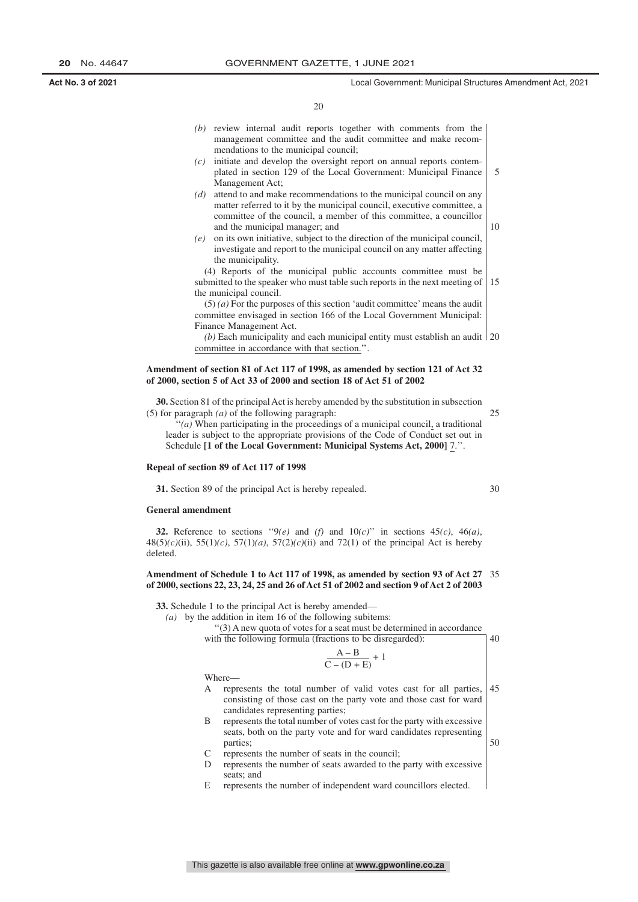|     | (b) review internal audit reports together with comments from the<br>management committee and the audit committee and make recom- |    |
|-----|-----------------------------------------------------------------------------------------------------------------------------------|----|
|     | mendations to the municipal council;                                                                                              |    |
| (c) | initiate and develop the oversight report on annual reports contem-                                                               |    |
|     | plated in section 129 of the Local Government: Municipal Finance                                                                  | 5  |
|     | Management Act:                                                                                                                   |    |
| (d) | attend to and make recommendations to the municipal council on any                                                                |    |
|     | matter referred to it by the municipal council, executive committee, a                                                            |    |
|     | committee of the council, a member of this committee, a councillor                                                                |    |
|     | and the municipal manager; and                                                                                                    | 10 |
| (e) | on its own initiative, subject to the direction of the municipal council,                                                         |    |
|     | investigate and report to the municipal council on any matter affecting                                                           |    |
|     | the municipality.                                                                                                                 |    |
|     | (4) Reports of the municipal public accounts committee must be                                                                    |    |
|     | submitted to the speaker who must table such reports in the next meeting of                                                       | 15 |
|     | the municipal council.                                                                                                            |    |
|     | $(5)$ (a) For the purposes of this section 'audit committee' means the audit                                                      |    |
|     | committee envisaged in section 166 of the Local Government Municipal:                                                             |    |
|     | Finance Management Act.                                                                                                           |    |
|     | (b) Each municipality and each municipal entity must establish an audit $\vert$ 20                                                |    |
|     | committee in accordance with that section.".                                                                                      |    |

### **Amendment of section 81 of Act 117 of 1998, as amended by section 121 of Act 32 of 2000, section 5 of Act 33 of 2000 and section 18 of Act 51 of 2002**

**30.** Section 81 of the principal Act is hereby amended by the substitution in subsection (5) for paragraph *(a)* of the following paragraph:

''*(a)* When participating in the proceedings of a municipal council, a traditional leader is subject to the appropriate provisions of the Code of Conduct set out in Schedule **[1 of the Local Government: Municipal Systems Act, 2000]** 7.''.

#### **Repeal of section 89 of Act 117 of 1998**

**31.** Section 89 of the principal Act is hereby repealed.

#### **General amendment**

**32.** Reference to sections " $9(e)$  and  $(f)$  and  $10(c)$ " in sections 45*(c)*, 46*(a)*, 48(5)*(c)*(ii), 55(1)*(c)*, 57(1)*(a)*, 57(2)*(c)*(ii) and 72(1) of the principal Act is hereby deleted.

#### **Amendment of Schedule 1 to Act 117 of 1998, as amended by section 93 of Act 27** 35 **of 2000, sections 22, 23, 24, 25 and 26 of Act 51 of 2002 and section 9 of Act 2 of 2003**

**33.** Schedule 1 to the principal Act is hereby amended—

*(a)* by the addition in item 16 of the following subitems:

''(3) A new quota of votes for a seat must be determined in accordance with the following formula (fractions to be disregarded):  $40$ 

$$
\frac{A-B}{C-(D+E)}+1
$$

Where—

- A represents the total number of valid votes cast for all parties, consisting of those cast on the party vote and those cast for ward candidates representing parties; 45
- B represents the total number of votes cast for the party with excessive seats, both on the party vote and for ward candidates representing parties;
- C represents the number of seats in the council;
- D represents the number of seats awarded to the party with excessive seats; and
- E represents the number of independent ward councillors elected.

30

50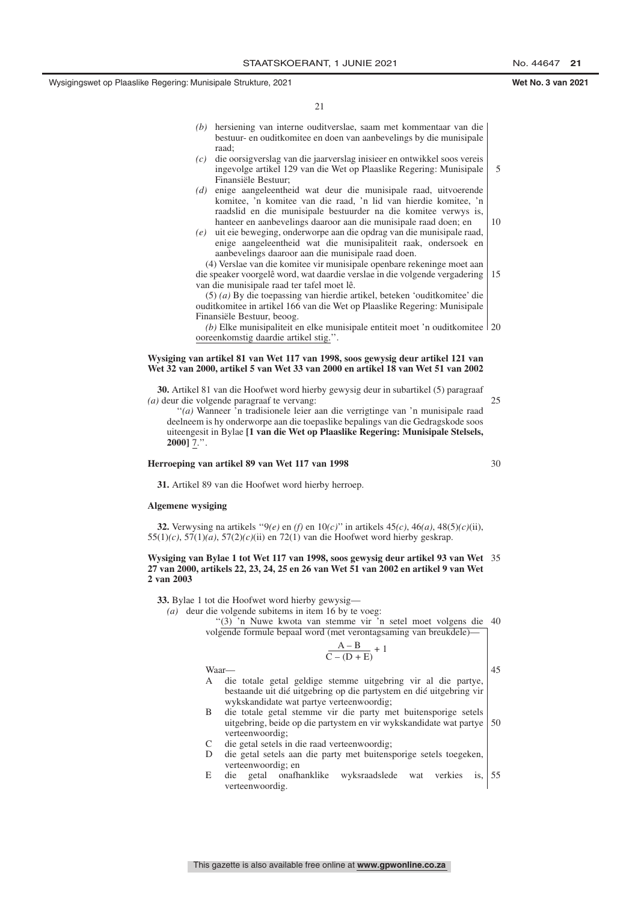21

- *(b)* hersiening van interne ouditverslae, saam met kommentaar van die bestuur- en ouditkomitee en doen van aanbevelings by die munisipale raad;
- *(c)* die oorsigverslag van die jaarverslag inisieer en ontwikkel soos vereis ingevolge artikel 129 van die Wet op Plaaslike Regering: Munisipale Finansiële Bestuur;
- *(d)* enige aangeleentheid wat deur die munisipale raad, uitvoerende komitee, 'n komitee van die raad, 'n lid van hierdie komitee, 'n raadslid en die munisipale bestuurder na die komitee verwys is, hanteer en aanbevelings daaroor aan die munisipale raad doen; en
- *(e)* uit eie beweging, onderworpe aan die opdrag van die munisipale raad, enige aangeleentheid wat die munisipaliteit raak, ondersoek en aanbevelings daaroor aan die munisipale raad doen.

(4) Verslae van die komitee vir munisipale openbare rekeninge moet aan die speaker voorgelê word, wat daardie verslae in die volgende vergadering van die munisipale raad ter tafel moet lê. 15

(5) *(a)* By die toepassing van hierdie artikel, beteken 'ouditkomitee' die ouditkomitee in artikel 166 van die Wet op Plaaslike Regering: Munisipale Finansiële Bestuur, beoog.

*(b)* Elke munisipaliteit en elke munisipale entiteit moet 'n ouditkomitee 20 ooreenkomstig daardie artikel stig.''.

#### **Wysiging van artikel 81 van Wet 117 van 1998, soos gewysig deur artikel 121 van Wet 32 van 2000, artikel 5 van Wet 33 van 2000 en artikel 18 van Wet 51 van 2002**

**30.** Artikel 81 van die Hoofwet word hierby gewysig deur in subartikel (5) paragraaf *(a)* deur die volgende paragraaf te vervang:

''*(a)* Wanneer 'n tradisionele leier aan die verrigtinge van 'n munisipale raad deelneem is hy onderworpe aan die toepaslike bepalings van die Gedragskode soos uiteengesit in Bylae **[1 van die Wet op Plaaslike Regering: Munisipale Stelsels, 2000]** 7.''.

#### **Herroeping van artikel 89 van Wet 117 van 1998**

**31.** Artikel 89 van die Hoofwet word hierby herroep.

#### **Algemene wysiging**

**32.** Verwysing na artikels ''9*(e)* en *(f)* en 10*(c)*'' in artikels 45*(c)*, 46*(a)*, 48(5)*(c)*(ii), 55(1)*(c)*, 57(1)*(a)*, 57(2)*(c)*(ii) en 72(1) van die Hoofwet word hierby geskrap.

#### **Wysiging van Bylae 1 tot Wet 117 van 1998, soos gewysig deur artikel 93 van Wet** 35 **27 van 2000, artikels 22, 23, 24, 25 en 26 van Wet 51 van 2002 en artikel 9 van Wet 2 van 2003**

**33.** Bylae 1 tot die Hoofwet word hierby gewysig—



uitgebring, beide op die partystem en vir wykskandidate wat partye verteenwoordig; 50

- C die getal setels in die raad verteenwoordig;
- D die getal setels aan die party met buitensporige setels toegeken, verteenwoordig; en
- E die getal onafhanklike wyksraadslede wat verkies is, verteenwoordig. 55

30

25

5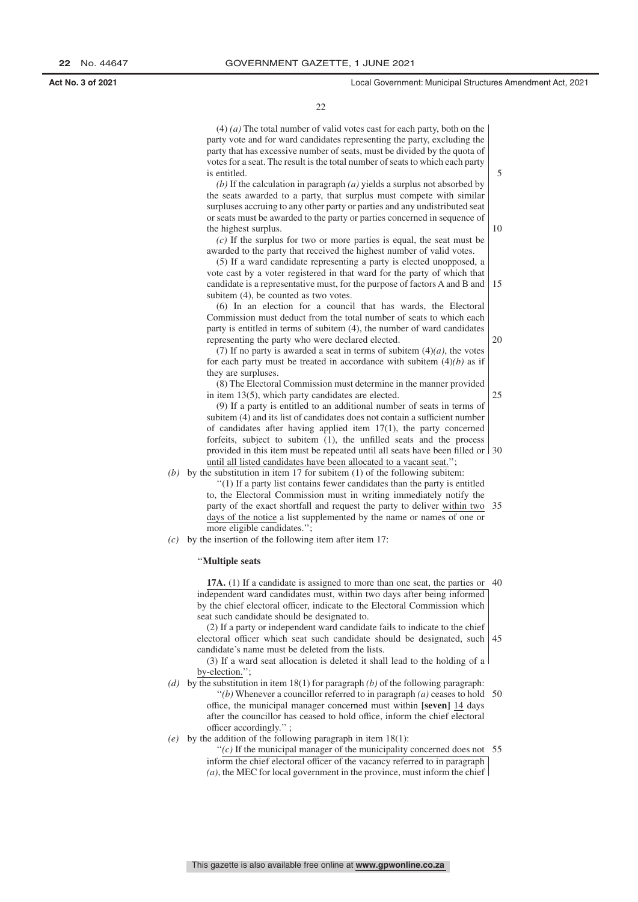5

10

20

25

22

(4) *(a)* The total number of valid votes cast for each party, both on the party vote and for ward candidates representing the party, excluding the party that has excessive number of seats, must be divided by the quota of votes for a seat. The result is the total number of seats to which each party is entitled.

*(b)* If the calculation in paragraph *(a)* yields a surplus not absorbed by the seats awarded to a party, that surplus must compete with similar surpluses accruing to any other party or parties and any undistributed seat or seats must be awarded to the party or parties concerned in sequence of the highest surplus.

*(c)* If the surplus for two or more parties is equal, the seat must be awarded to the party that received the highest number of valid votes.

(5) If a ward candidate representing a party is elected unopposed, a vote cast by a voter registered in that ward for the party of which that candidate is a representative must, for the purpose of factors A and B and | 15 subitem  $(4)$ , be counted as two votes.

(6) In an election for a council that has wards, the Electoral Commission must deduct from the total number of seats to which each party is entitled in terms of subitem (4), the number of ward candidates representing the party who were declared elected.

(7) If no party is awarded a seat in terms of subitem  $(4)(a)$ , the votes for each party must be treated in accordance with subitem  $(4)(b)$  as if they are surpluses.

(8) The Electoral Commission must determine in the manner provided in item 13(5), which party candidates are elected.

(9) If a party is entitled to an additional number of seats in terms of subitem (4) and its list of candidates does not contain a sufficient number of candidates after having applied item 17(1), the party concerned forfeits, subject to subitem (1), the unfilled seats and the process provided in this item must be repeated until all seats have been filled or 30 until all listed candidates have been allocated to a vacant seat.'';

*(b)* by the substitution in item 17 for subitem (1) of the following subitem: ''(1) If a party list contains fewer candidates than the party is entitled

> to, the Electoral Commission must in writing immediately notify the party of the exact shortfall and request the party to deliver within two 35 days of the notice a list supplemented by the name or names of one or more eligible candidates."

*(c)* by the insertion of the following item after item 17:

#### ''**Multiple seats**

**17A.** (1) If a candidate is assigned to more than one seat, the parties or 40 independent ward candidates must, within two days after being informed by the chief electoral officer, indicate to the Electoral Commission which seat such candidate should be designated to.

(2) If a party or independent ward candidate fails to indicate to the chief electoral officer which seat such candidate should be designated, such 45 candidate's name must be deleted from the lists.

(3) If a ward seat allocation is deleted it shall lead to the holding of a by-election.'';

*(d)* by the substitution in item 18(1) for paragraph *(b)* of the following paragraph: ''*(b)* Whenever a councillor referred to in paragraph *(a)* ceases to hold 50 office, the municipal manager concerned must within **[seven]** 14 days

after the councillor has ceased to hold office, inform the chief electoral officer accordingly.'' ; *(e)* by the addition of the following paragraph in item 18(1):

 $''(c)$  If the municipal manager of the municipality concerned does not 55 inform the chief electoral officer of the vacancy referred to in paragraph *(a)*, the MEC for local government in the province, must inform the chief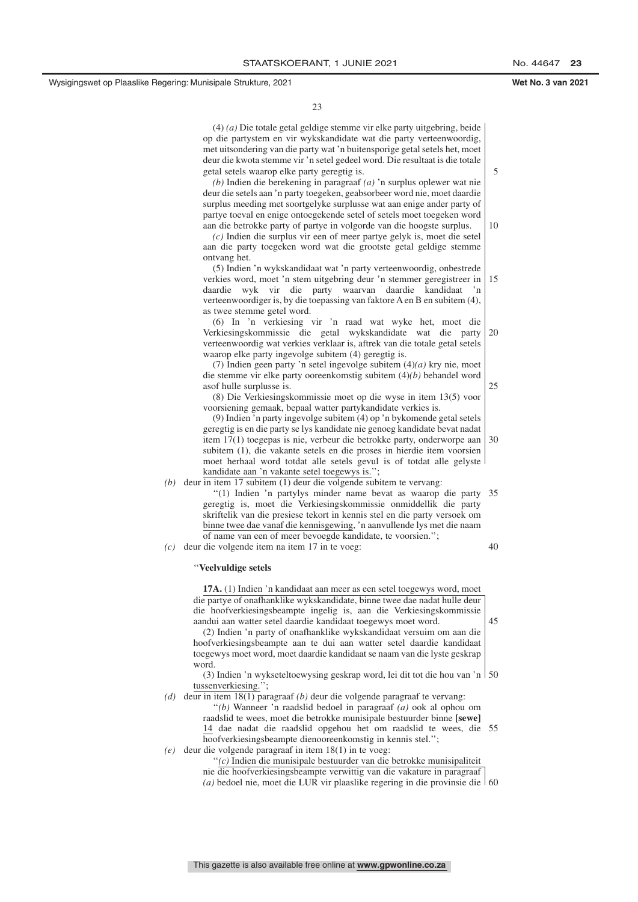5

10

25

23

(4) *(a)* Die totale getal geldige stemme vir elke party uitgebring, beide op die partystem en vir wykskandidate wat die party verteenwoordig, met uitsondering van die party wat 'n buitensporige getal setels het, moet deur die kwota stemme vir 'n setel gedeel word. Die resultaat is die totale getal setels waarop elke party geregtig is.

*(b)* Indien die berekening in paragraaf *(a)* 'n surplus oplewer wat nie deur die setels aan 'n party toegeken, geabsorbeer word nie, moet daardie surplus meeding met soortgelyke surplusse wat aan enige ander party of partye toeval en enige ontoegekende setel of setels moet toegeken word aan die betrokke party of partye in volgorde van die hoogste surplus.

*(c)* Indien die surplus vir een of meer partye gelyk is, moet die setel aan die party toegeken word wat die grootste getal geldige stemme ontvang het.

(5) Indien 'n wykskandidaat wat 'n party verteenwoordig, onbestrede verkies word, moet 'n stem uitgebring deur 'n stemmer geregistreer in daardie wyk vir die party waarvan daardie kandidaat 'n verteenwoordiger is, by die toepassing van faktore A en B en subitem (4), as twee stemme getel word. 15

(6) In 'n verkiesing vir 'n raad wat wyke het, moet die Verkiesingskommissie die getal wykskandidate wat die party verteenwoordig wat verkies verklaar is, aftrek van die totale getal setels waarop elke party ingevolge subitem (4) geregtig is. 20

(7) Indien geen party 'n setel ingevolge subitem (4)*(a)* kry nie, moet die stemme vir elke party ooreenkomstig subitem (4)*(b)* behandel word asof hulle surplusse is.

(8) Die Verkiesingskommissie moet op die wyse in item 13(5) voor voorsiening gemaak, bepaal watter partykandidate verkies is.

(9) Indien 'n party ingevolge subitem (4) op 'n bykomende getal setels geregtig is en die party se lys kandidate nie genoeg kandidate bevat nadat item 17(1) toegepas is nie, verbeur die betrokke party, onderworpe aan subitem (1), die vakante setels en die proses in hierdie item voorsien moet herhaal word totdat alle setels gevul is of totdat alle gelyste kandidate aan 'n vakante setel toegewys is.''; 30

*(b)* deur in item 17 subitem (1) deur die volgende subitem te vervang: "(1) Indien 'n partylys minder name bevat as waarop die party 35 geregtig is, moet die Verkiesingskommissie onmiddellik die party skriftelik van die presiese tekort in kennis stel en die party versoek om binne twee dae vanaf die kennisgewing, 'n aanvullende lys met die naam of name van een of meer bevoegde kandidate, te voorsien.''; 40

*(c)* deur die volgende item na item 17 in te voeg:

#### ''**Veelvuldige setels**

**17A.** (1) Indien 'n kandidaat aan meer as een setel toegewys word, moet die partye of onafhanklike wykskandidate, binne twee dae nadat hulle deur die hoofverkiesingsbeampte ingelig is, aan die Verkiesingskommissie aandui aan watter setel daardie kandidaat toegewys moet word. 45

(2) Indien 'n party of onafhanklike wykskandidaat versuim om aan die hoofverkiesingsbeampte aan te dui aan watter setel daardie kandidaat toegewys moet word, moet daardie kandidaat se naam van die lyste geskrap word.

(3) Indien 'n wykseteltoewysing geskrap word, lei dit tot die hou van 'n 50 tussenverkiesing.'';

*(d)* deur in item 18(1) paragraaf *(b)* deur die volgende paragraaf te vervang: ''*(b)* Wanneer 'n raadslid bedoel in paragraaf *(a)* ook al ophou om raadslid te wees, moet die betrokke munisipale bestuurder binne **[sewe]** 14 dae nadat die raadslid opgehou het om raadslid te wees, die 55 hoofverkiesingsbeampte dienooreenkomstig in kennis stel.'

*(e)* deur die volgende paragraaf in item 18(1) in te voeg:

''*(c)* Indien die munisipale bestuurder van die betrokke munisipaliteit

nie die hoofverkiesingsbeampte verwittig van die vakature in paragraaf

*(a)* bedoel nie, moet die LUR vir plaaslike regering in die provinsie die 60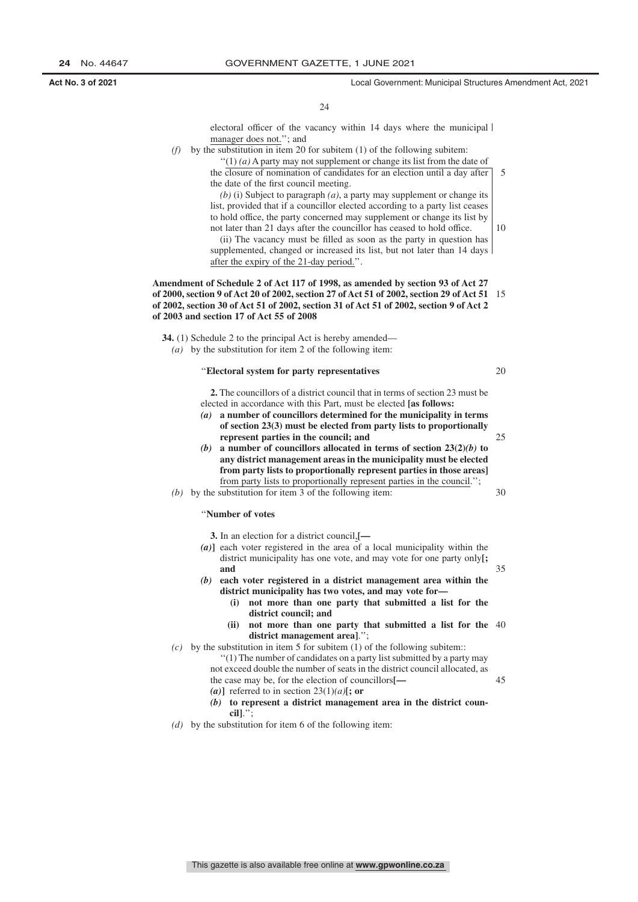10

20

25

30

35

electoral officer of the vacancy within 14 days where the municipal manager does not.''; and

 $(f)$  by the substitution in item 20 for subitem  $(1)$  of the following subitem:

''(1) *(a)* A party may not supplement or change its list from the date of the closure of nomination of candidates for an election until a day after the date of the first council meeting. 5

*(b)* (i) Subject to paragraph *(a)*, a party may supplement or change its list, provided that if a councillor elected according to a party list ceases to hold office, the party concerned may supplement or change its list by not later than 21 days after the councillor has ceased to hold office.

(ii) The vacancy must be filled as soon as the party in question has supplemented, changed or increased its list, but not later than 14 days after the expiry of the 21-day period.''.

**Amendment of Schedule 2 of Act 117 of 1998, as amended by section 93 of Act 27 of 2000, section 9 of Act 20 of 2002, section 27 of Act 51 of 2002, section 29 of Act 51** 15 **of 2002, section 30 of Act 51 of 2002, section 31 of Act 51 of 2002, section 9 of Act 2 of 2003 and section 17 of Act 55 of 2008**

**34.** (1) Schedule 2 to the principal Act is hereby amended— *(a)* by the substitution for item 2 of the following item:

#### ''**Electoral system for party representatives**

**2.** The councillors of a district council that in terms of section 23 must be elected in accordance with this Part, must be elected **[as follows:**

- *(a)* **a number of councillors determined for the municipality in terms of section 23(3) must be elected from party lists to proportionally represent parties in the council; and**
- *(b)* **a number of councillors allocated in terms of section 23(2)***(b)* **to any district management areas in the municipality must be elected from party lists to proportionally represent parties in those areas]** from party lists to proportionally represent parties in the council.'';

*(b)* by the substitution for item 3 of the following item:

#### ''**Number of votes**

**3.** In an election for a district council,**[—**

- *(a)***]** each voter registered in the area of a local municipality within the district municipality has one vote, and may vote for one party only**[; and**
- *(b)* **each voter registered in a district management area within the district municipality has two votes, and may vote for—**
	- **(i) not more than one party that submitted a list for the district council; and**
	- **(ii) not more than one party that submitted a list for the** 40 **district management area]**.'';
- $(c)$  by the substitution in item 5 for subitem (1) of the following subitem:
	- ''(1) The number of candidates on a party list submitted by a party may not exceed double the number of seats in the district council allocated, as
		- 45

 $(a)$ **]** referred to in section 23(1) $(a)$ **[; or** 

the case may be, for the election of councillors**[—**

- *(b)* **to represent a district management area in the district council]**.'';
- *(d)* by the substitution for item 6 of the following item: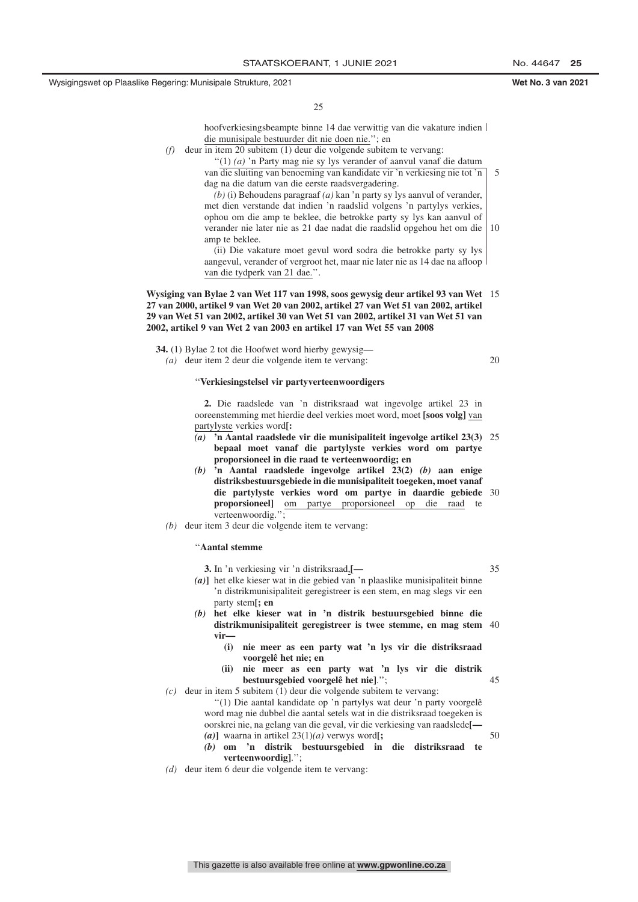25

hoofverkiesingsbeampte binne 14 dae verwittig van die vakature indien die munisipale bestuurder dit nie doen nie.''; en

*(f)* deur in item 20 subitem (1) deur die volgende subitem te vervang:

''(1) *(a)* 'n Party mag nie sy lys verander of aanvul vanaf die datum van die sluiting van benoeming van kandidate vir 'n verkiesing nie tot 'n dag na die datum van die eerste raadsvergadering. *(b)* (i) Behoudens paragraaf *(a)* kan 'n party sy lys aanvul of verander,

met dien verstande dat indien 'n raadslid volgens 'n partylys verkies, ophou om die amp te beklee, die betrokke party sy lys kan aanvul of verander nie later nie as 21 dae nadat die raadslid opgehou het om die amp te beklee. 10

(ii) Die vakature moet gevul word sodra die betrokke party sy lys aangevul, verander of vergroot het, maar nie later nie as 14 dae na afloop van die tydperk van 21 dae.''.

#### **Wysiging van Bylae 2 van Wet 117 van 1998, soos gewysig deur artikel 93 van Wet** 15 **27 van 2000, artikel 9 van Wet 20 van 2002, artikel 27 van Wet 51 van 2002, artikel 29 van Wet 51 van 2002, artikel 30 van Wet 51 van 2002, artikel 31 van Wet 51 van 2002, artikel 9 van Wet 2 van 2003 en artikel 17 van Wet 55 van 2008**

**34.** (1) Bylae 2 tot die Hoofwet word hierby gewysig—

*(a)* deur item 2 deur die volgende item te vervang:

20

5

### ''**Verkiesingstelsel vir partyverteenwoordigers**

**2.** Die raadslede van 'n distriksraad wat ingevolge artikel 23 in ooreenstemming met hierdie deel verkies moet word, moet **[soos volg]** van partylyste verkies word**[:**

- *(a)* **'n Aantal raadslede vir die munisipaliteit ingevolge artikel 23(3)** 25 **bepaal moet vanaf die partylyste verkies word om partye proporsioneel in die raad te verteenwoordig; en**
- *(b)* **'n Aantal raadslede ingevolge artikel 23(2)** *(b)* **aan enige distriksbestuursgebiede in die munisipaliteit toegeken, moet vanaf die partylyste verkies word om partye in daardie gebiede** 30 **proporsioneel]** om partye proporsioneel op die raad te verteenwoordig."
- *(b)* deur item 3 deur die volgende item te vervang:

#### ''**Aantal stemme**

- **3.** In 'n verkiesing vir 'n distriksraad,**[—** *(a)***]** het elke kieser wat in die gebied van 'n plaaslike munisipaliteit binne 'n distrikmunisipaliteit geregistreer is een stem, en mag slegs vir een party stem**[; en** *(b)* **het elke kieser wat in 'n distrik bestuursgebied binne die distrikmunisipaliteit geregistreer is twee stemme, en mag stem** 40 **vir— (i) nie meer as een party wat 'n lys vir die distriksraad voorgelê het nie; en (ii) nie meer as een party wat 'n lys vir die distrik bestuursgebied voorgelê het nie]**.''; *(c)* deur in item 5 subitem (1) deur die volgende subitem te vervang: ''(1) Die aantal kandidate op 'n partylys wat deur 'n party voorgelê word mag nie dubbel die aantal setels wat in die distriksraad toegeken is oorskrei nie, na gelang van die geval, vir die verkiesing van raadslede**[—** *(a)***]** waarna in artikel 23(1)*(a)* verwys word**[;** *(b)* **om 'n distrik bestuursgebied in die distriksraad te** 35 45 50
	- **verteenwoordig]**.'';
- *(d)* deur item 6 deur die volgende item te vervang: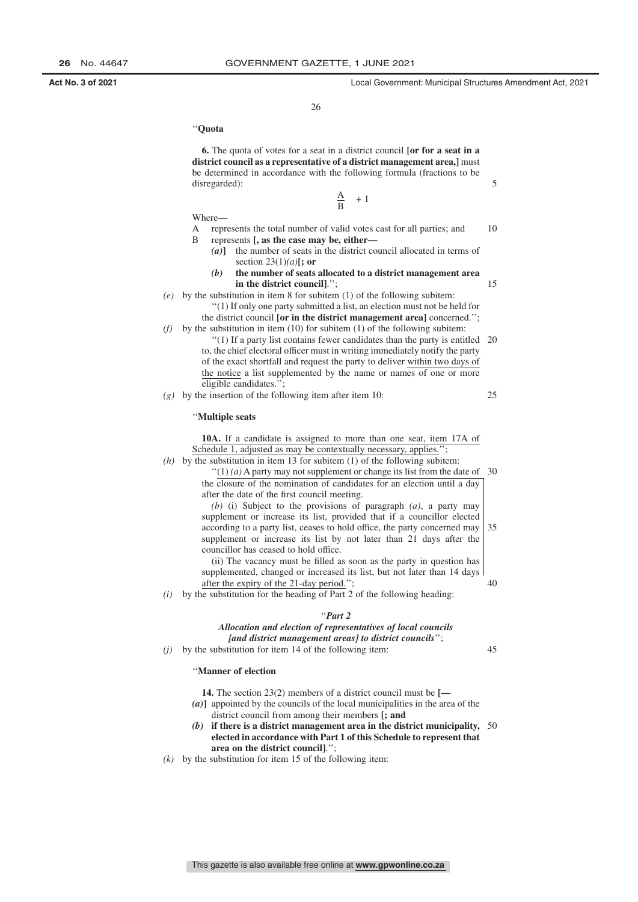15

25

45

26

#### ''**Quota**

Where—

**6.** The quota of votes for a seat in a district council **[or for a seat in a district council as a representative of a district management area,]** must be determined in accordance with the following formula (fractions to be disregarded):

 $\frac{A}{B}$  + 1

A represents the total number of valid votes cast for all parties; and B represents **[, as the case may be, either—** 10

- *(a)***]** the number of seats in the district council allocated in terms of section 23(1)*(a)***[; or**
- *(b)* **the number of seats allocated to a district management area in the district council]**.'';
- *(e)* by the substitution in item 8 for subitem (1) of the following subitem: ''(1) If only one party submitted a list, an election must not be held for
- the district council **[or in the district management area]** concerned.'';  $(f)$  by the substitution in item (10) for subitem (1) of the following subitem:
	- ''(1) If a party list contains fewer candidates than the party is entitled 20 to, the chief electoral officer must in writing immediately notify the party of the exact shortfall and request the party to deliver within two days of the notice a list supplemented by the name or names of one or more eligible candidates.'';

*(g)* by the insertion of the following item after item 10:

#### ''**Multiple seats**

**10A.** If a candidate is assigned to more than one seat, item 17A of Schedule 1, adjusted as may be contextually necessary, applies.

*(h)* by the substitution in item 13 for subitem (1) of the following subitem:  $''(1)$  (a) A party may not supplement or change its list from the date of 30 the closure of the nomination of candidates for an election until a day after the date of the first council meeting. *(b)* (i) Subject to the provisions of paragraph *(a)*, a party may

supplement or increase its list, provided that if a councillor elected according to a party list, ceases to hold office, the party concerned may supplement or increase its list by not later than 21 days after the councillor has ceased to hold office. 35

(ii) The vacancy must be filled as soon as the party in question has supplemented, changed or increased its list, but not later than 14 days after the expiry of the 21-day period.''; 40

*(i)* by the substitution for the heading of Part 2 of the following heading:

#### ''*Part 2*

### *Allocation and election of representatives of local councils [and district management areas] to district councils*'';

*(j)* by the substitution for item 14 of the following item:

#### ''**Manner of election**

- **14.** The section 23(2) members of a district council must be **[—**
- *(a)***]** appointed by the councils of the local municipalities in the area of the district council from among their members **[; and**
- *(b)* **if there is a district management area in the district municipality,** 50 **elected in accordance with Part 1 of this Schedule to represent that area on the district council]**.'';
- $(k)$  by the substitution for item 15 of the following item: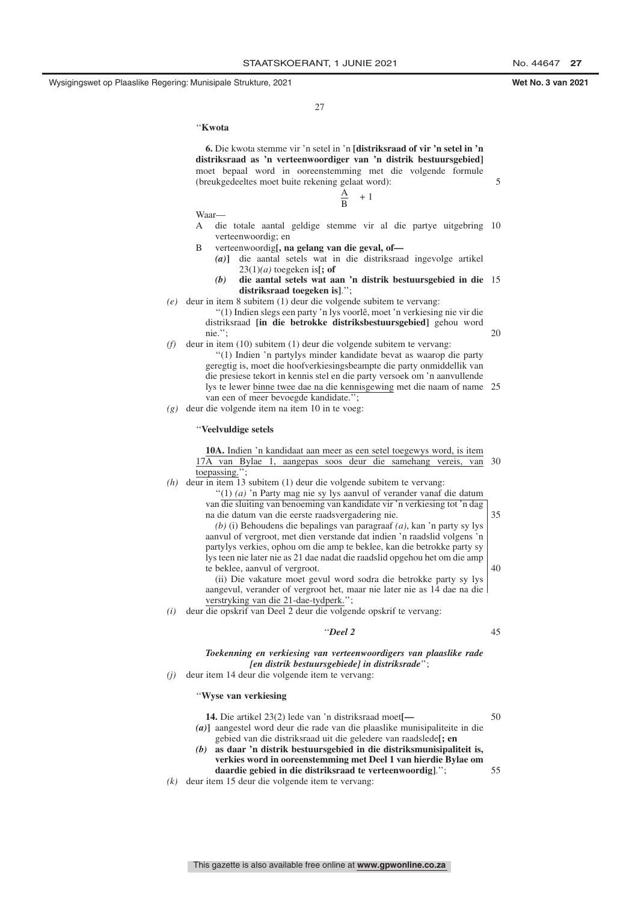5

20

 $27$ 

''**Kwota**

**6.** Die kwota stemme vir 'n setel in 'n **[distriksraad of vir 'n setel in 'n distriksraad as 'n verteenwoordiger van 'n distrik bestuursgebied]** moet bepaal word in ooreenstemming met die volgende formule (breukgedeeltes moet buite rekening gelaat word):

$$
\frac{A}{B} + 1
$$

Waar—

- A die totale aantal geldige stemme vir al die partye uitgebring 10 verteenwoordig; en
- B verteenwoordig**[, na gelang van die geval, of—**
	- *(a)***]** die aantal setels wat in die distriksraad ingevolge artikel  $23(1)(a)$  toegeken is[; of
	- *(b)* **die aantal setels wat aan 'n distrik bestuursgebied in die** 15 **distriksraad toegeken is]**.'';
- *(e)* deur in item 8 subitem (1) deur die volgende subitem te vervang:

''(1) Indien slegs een party 'n lys voorlê, moet 'n verkiesing nie vir die distriksraad **[in die betrokke distriksbestuursgebied]** gehou word nie.'';

- *(f)* deur in item (10) subitem (1) deur die volgende subitem te vervang:
	- ''(1) Indien 'n partylys minder kandidate bevat as waarop die party geregtig is, moet die hoofverkiesingsbeampte die party onmiddellik van die presiese tekort in kennis stel en die party versoek om 'n aanvullende lys te lewer binne twee dae na die kennisgewing met die naam of name 25 van een of meer bevoegde kandidate.'';
- *(g)* deur die volgende item na item 10 in te voeg:

#### ''**Veelvuldige setels**

**10A.** Indien 'n kandidaat aan meer as een setel toegewys word, is item 17A van Bylae 1, aangepas soos deur die samehang vereis, van 30 toepassing.''; *(h)* deur in item 13 subitem (1) deur die volgende subitem te vervang: ''(1) *(a)* 'n Party mag nie sy lys aanvul of verander vanaf die datum van die sluiting van benoeming van kandidate vir 'n verkiesing tot 'n dag na die datum van die eerste raadsvergadering nie. *(b)* (i) Behoudens die bepalings van paragraaf *(a)*, kan 'n party sy lys 35

aanvul of vergroot, met dien verstande dat indien 'n raadslid volgens 'n partylys verkies, ophou om die amp te beklee, kan die betrokke party sy lys teen nie later nie as 21 dae nadat die raadslid opgehou het om die amp te beklee, aanvul of vergroot. (ii) Die vakature moet gevul word sodra die betrokke party sy lys 40

aangevul, verander of vergroot het, maar nie later nie as 14 dae na die verstryking van die 21-dae-tydperk.'';

*(i)* deur die opskrif van Deel 2 deur die volgende opskrif te vervang:

#### ''*Deel 2*

45

#### *Toekenning en verkiesing van verteenwoordigers van plaaslike rade [en distrik bestuursgebiede] in distriksrade*'';

*(j)* deur item 14 deur die volgende item te vervang:

#### ''**Wyse van verkiesing**

- **14.** Die artikel 23(2) lede van 'n distriksraad moet**[—** *(a)***]** aangestel word deur die rade van die plaaslike munisipaliteite in die gebied van die distriksraad uit die geledere van raadslede**[; en** *(b)* **as daar 'n distrik bestuursgebied in die distriksmunisipaliteit is, verkies word in ooreenstemming met Deel 1 van hierdie Bylae om daardie gebied in die distriksraad te verteenwoordig]**.''; 50 55
- *(k)* deur item 15 deur die volgende item te vervang: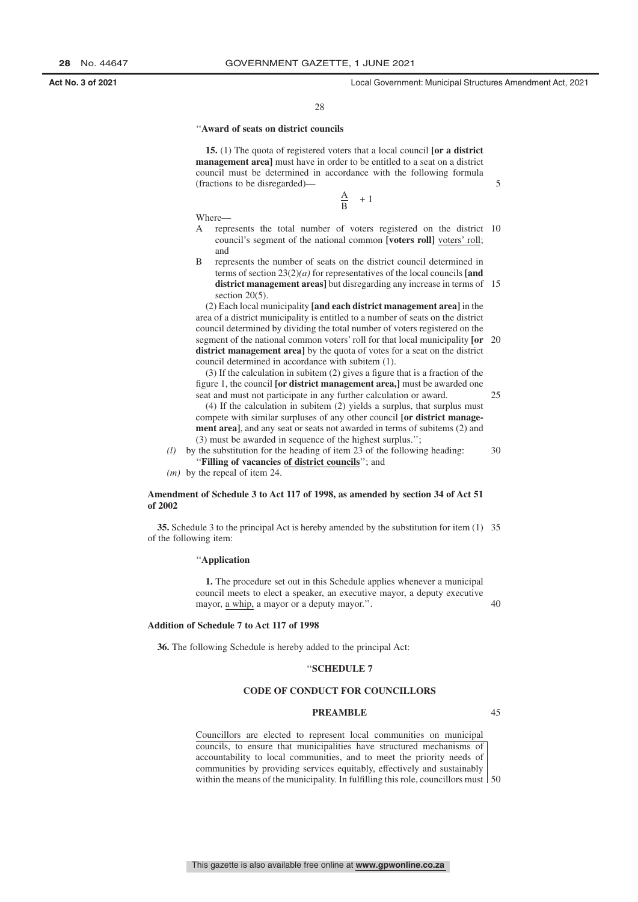25

28

#### ''**Award of seats on district councils**

**15.** (1) The quota of registered voters that a local council **[or a district management area]** must have in order to be entitled to a seat on a district council must be determined in accordance with the following formula (fractions to be disregarded)—

> $+1$  $\frac{A}{B}$

Where—

- A represents the total number of voters registered on the district 10 council's segment of the national common **[voters roll]** voters' roll; and
- B represents the number of seats on the district council determined in terms of section 23(2)*(a)* for representatives of the local councils **[and district management areas]** but disregarding any increase in terms of 15 section 20(5).

(2) Each local municipality **[and each district management area]** in the area of a district municipality is entitled to a number of seats on the district council determined by dividing the total number of voters registered on the segment of the national common voters' roll for that local municipality **[or** 20 **district management area]** by the quota of votes for a seat on the district council determined in accordance with subitem (1).

(3) If the calculation in subitem (2) gives a figure that is a fraction of the figure 1, the council **[or district management area,]** must be awarded one seat and must not participate in any further calculation or award.

(4) If the calculation in subitem (2) yields a surplus, that surplus must compete with similar surpluses of any other council **[or district management area]**, and any seat or seats not awarded in terms of subitems (2) and (3) must be awarded in sequence of the highest surplus.'';

*(l)* by the substitution for the heading of item 23 of the following heading: ''**Filling of vacancies of district councils**''; and 30

*(m)* by the repeal of item 24.

#### **Amendment of Schedule 3 to Act 117 of 1998, as amended by section 34 of Act 51 of 2002**

**35.** Schedule 3 to the principal Act is hereby amended by the substitution for item (1) 35 of the following item:

#### ''**Application**

**1.** The procedure set out in this Schedule applies whenever a municipal council meets to elect a speaker, an executive mayor, a deputy executive mayor, a whip, a mayor or a deputy mayor.''.

**Addition of Schedule 7 to Act 117 of 1998**

**36.** The following Schedule is hereby added to the principal Act:

#### ''**SCHEDULE 7**

#### **CODE OF CONDUCT FOR COUNCILLORS**

#### **PREAMBLE**

45

40

Councillors are elected to represent local communities on municipal councils, to ensure that municipalities have structured mechanisms of accountability to local communities, and to meet the priority needs of communities by providing services equitably, effectively and sustainably within the means of the municipality. In fulfilling this role, councillors must 50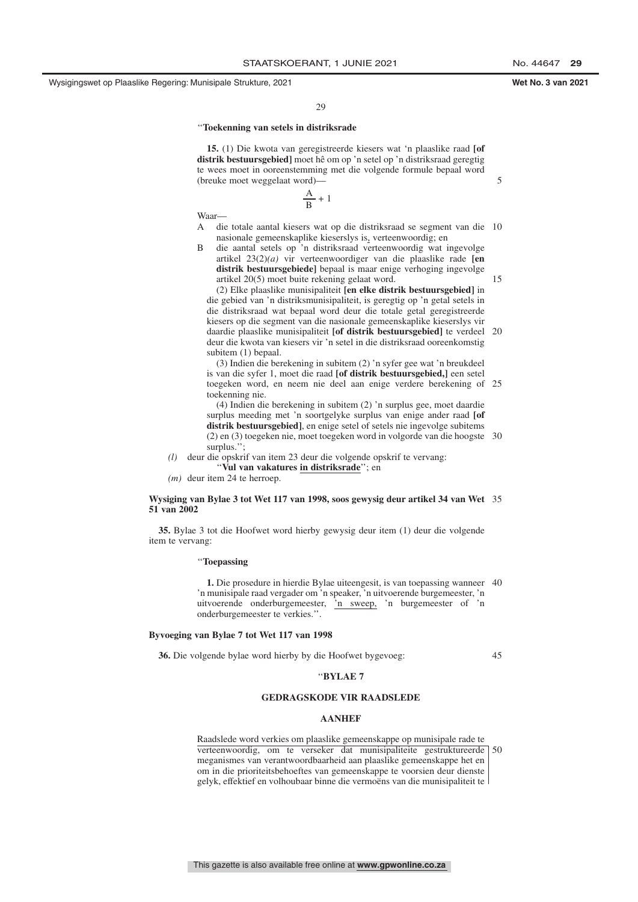5

15

 $29$ 

#### ''**Toekenning van setels in distriksrade**

**15.** (1) Die kwota van geregistreerde kiesers wat 'n plaaslike raad **[of distrik bestuursgebied]** moet hê om op 'n setel op 'n distriksraad geregtig te wees moet in ooreenstemming met die volgende formule bepaal word (breuke moet weggelaat word)—

> A  $\frac{1}{B}$  + 1

Waar—

- A die totale aantal kiesers wat op die distriksraad se segment van die 10 nasionale gemeenskaplike kieserslys is, verteenwoordig; en
- B die aantal setels op 'n distriksraad verteenwoordig wat ingevolge artikel 23(2)*(a)* vir verteenwoordiger van die plaaslike rade **[en distrik bestuursgebiede]** bepaal is maar enige verhoging ingevolge artikel 20(5) moet buite rekening gelaat word.

(2) Elke plaaslike munisipaliteit **[en elke distrik bestuursgebied]** in die gebied van 'n distriksmunisipaliteit, is geregtig op 'n getal setels in die distriksraad wat bepaal word deur die totale getal geregistreerde kiesers op die segment van die nasionale gemeenskaplike kieserslys vir daardie plaaslike munisipaliteit **[of distrik bestuursgebied]** te verdeel 20 deur die kwota van kiesers vir 'n setel in die distriksraad ooreenkomstig subitem (1) bepaal.

(3) Indien die berekening in subitem (2) 'n syfer gee wat 'n breukdeel is van die syfer 1, moet die raad **[of distrik bestuursgebied,]** een setel toegeken word, en neem nie deel aan enige verdere berekening of 25 toekenning nie.

(4) Indien die berekening in subitem (2) 'n surplus gee, moet daardie surplus meeding met 'n soortgelyke surplus van enige ander raad **[of distrik bestuursgebied]**, en enige setel of setels nie ingevolge subitems (2) en (3) toegeken nie, moet toegeken word in volgorde van die hoogste 30 surplus.'';

*(l)* deur die opskrif van item 23 deur die volgende opskrif te vervang: "Vul van vakatures in distriksrade"; en

*(m)* deur item 24 te herroep.

#### **Wysiging van Bylae 3 tot Wet 117 van 1998, soos gewysig deur artikel 34 van Wet** 35 **51 van 2002**

**35.** Bylae 3 tot die Hoofwet word hierby gewysig deur item (1) deur die volgende item te vervang:

#### ''**Toepassing**

**1.** Die prosedure in hierdie Bylae uiteengesit, is van toepassing wanneer 40 'n munisipale raad vergader om 'n speaker, 'n uitvoerende burgemeester, 'n uitvoerende onderburgemeester, 'n sweep, 'n burgemeester of 'n onderburgemeester te verkies.''.

#### **Byvoeging van Bylae 7 tot Wet 117 van 1998**

**36.** Die volgende bylae word hierby by die Hoofwet bygevoeg:

45

#### ''**BYLAE 7**

### **GEDRAGSKODE VIR RAADSLEDE**

#### **AANHEF**

Raadslede word verkies om plaaslike gemeenskappe op munisipale rade te verteenwoordig, om te verseker dat munisipaliteite gestruktureerde 50 meganismes van verantwoordbaarheid aan plaaslike gemeenskappe het en om in die prioriteitsbehoeftes van gemeenskappe te voorsien deur dienste gelyk, effektief en volhoubaar binne die vermoëns van die munisipaliteit te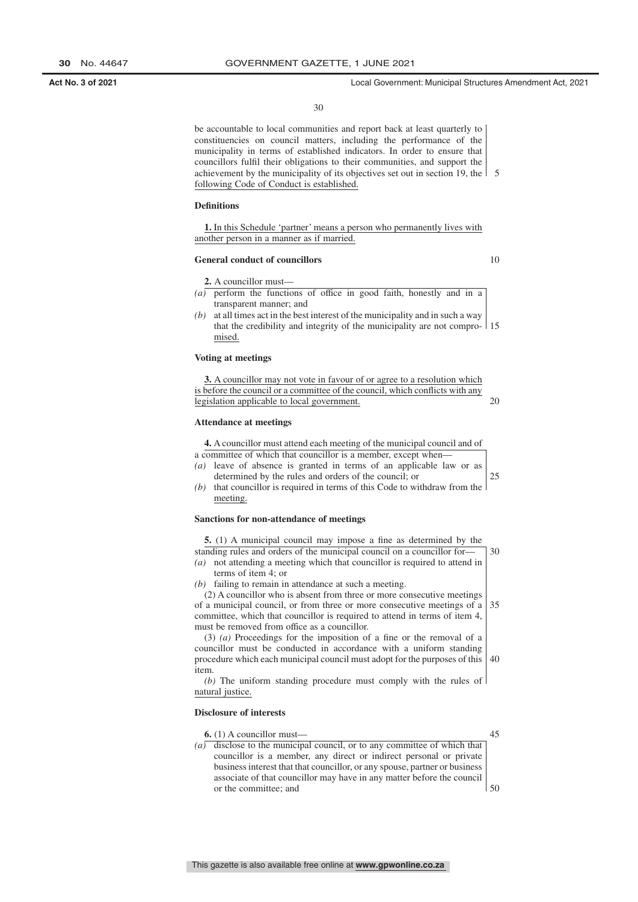30

be accountable to local communities and report back at least quarterly to constituencies on council matters, including the performance of the municipality in terms of established indicators. In order to ensure that councillors fulfil their obligations to their communities, and support the achievement by the municipality of its objectives set out in section 19, the 5 following Code of Conduct is established.

### **Definitions**

**1.** In this Schedule 'partner' means a person who permanently lives with another person in a manner as if married.

#### **General conduct of councillors**

**2.** A councillor must—

10

| (a) perform the functions of office in good faith, honestly and in a              |
|-----------------------------------------------------------------------------------|
| transparent manner; and                                                           |
| $(b)$ at all times act in the best interest of the municipality and in such a way |
| that the credibility and integrity of the municipality are not compro 1           |

that the credibility and integrity of the municipality are not compro-15 mised.

### **Voting at meetings**

| 3. A councillor may not vote in favour of or agree to a resolution which      |  |
|-------------------------------------------------------------------------------|--|
| is before the council or a committee of the council, which conflicts with any |  |
| legislation applicable to local government.                                   |  |

#### **Attendance at meetings**

|     | 4. A council lor must attend each meeting of the municipal council and of |  |
|-----|---------------------------------------------------------------------------|--|
|     | a committee of which that councillor is a member, except when—            |  |
|     | (a) leave of absence is granted in terms of an applicable law or as       |  |
|     | determined by the rules and orders of the council; or                     |  |
| (b) | that councillor is required in terms of this Code to withdraw from the    |  |
|     | meeting.                                                                  |  |
|     |                                                                           |  |

#### **Sanctions for non-attendance of meetings**

| 5. (1) A municipal council may impose a fine as determined by the                           |    |
|---------------------------------------------------------------------------------------------|----|
| standing rules and orders of the municipal council on a councillor for-                     | 30 |
| not attending a meeting which that councillor is required to attend in<br>$\left( a\right)$ |    |
| terms of item 4; or                                                                         |    |
| $(b)$ failing to remain in attendance at such a meeting.                                    |    |
| (2) A councillor who is absent from three or more consecutive meetings                      |    |
| of a municipal council, or from three or more consecutive meetings of a                     | 35 |
| committee, which that councillor is required to attend in terms of item 4,                  |    |
| must be removed from office as a councillor.                                                |    |
| $(3)$ (a) Proceedings for the imposition of a fine or the removal of a                      |    |
| councillor must be conducted in accordance with a uniform standing                          |    |
| procedure which each municipal council must adopt for the purposes of this                  | 40 |
| item.                                                                                       |    |
| (b) The uniform standing procedure must comply with the rules of                            |    |
| natural justice.                                                                            |    |

#### **Disclosure of interests**

| disclose to the municipal council, or to any committee of which that        |
|-----------------------------------------------------------------------------|
| councillor is a member, any direct or indirect personal or private          |
| business interest that that council lor, or any spouse, partner or business |
| associate of that councillor may have in any matter before the council      |
|                                                                             |
|                                                                             |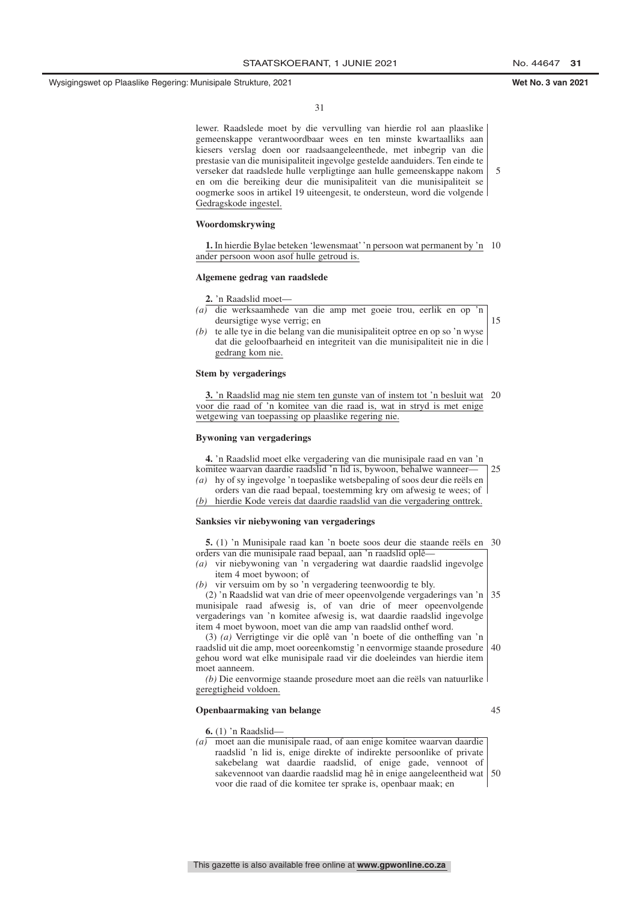lewer. Raadslede moet by die vervulling van hierdie rol aan plaaslike gemeenskappe verantwoordbaar wees en ten minste kwartaalliks aan kiesers verslag doen oor raadsaangeleenthede, met inbegrip van die prestasie van die munisipaliteit ingevolge gestelde aanduiders. Ten einde te verseker dat raadslede hulle verpligtinge aan hulle gemeenskappe nakom en om die bereiking deur die munisipaliteit van die munisipaliteit se oogmerke soos in artikel 19 uiteengesit, te ondersteun, word die volgende Gedragskode ingestel. 5

#### **Woordomskrywing**

**1.** In hierdie Bylae beteken 'lewensmaat' 'n persoon wat permanent by 'n 10 ander persoon woon asof hulle getroud is.

#### **Algemene gedrag van raadslede**

**2.** 'n Raadslid moet—

*(a)* die werksaamhede van die amp met goeie trou, eerlik en op 'n deursigtige wyse verrig; en

15

*(b)* te alle tye in die belang van die munisipaliteit optree en op so 'n wyse dat die geloofbaarheid en integriteit van die munisipaliteit nie in die gedrang kom nie.

#### **Stem by vergaderings**

**3.** 'n Raadslid mag nie stem ten gunste van of instem tot 'n besluit wat 20 voor die raad of 'n komitee van die raad is, wat in stryd is met enige wetgewing van toepassing op plaaslike regering nie.

#### **Bywoning van vergaderings**

**4.** 'n Raadslid moet elke vergadering van die munisipale raad en van 'n komitee waarvan daardie raadslid 'n lid is, bywoon, behalwe wanneer—  $25$ 

- *(a)* hy of sy ingevolge 'n toepaslike wetsbepaling of soos deur die reëls en orders van die raad bepaal, toestemming kry om afwesig te wees; of
- *(b)* hierdie Kode vereis dat daardie raadslid van die vergadering onttrek.

#### **Sanksies vir niebywoning van vergaderings**

| 5. (1) 'n Munisipale raad kan 'n boete soos deur die staande reëls en 30  |  |
|---------------------------------------------------------------------------|--|
| orders van die munisipale raad bepaal, aan 'n raadslid oplê               |  |
| (a) vir niebywoning van 'n vergadering wat daardie raadslid ingevolge     |  |
| item 4 moet bywoon; of                                                    |  |
| (b) vir versum om by so 'n vergadering teenwoordig te bly.                |  |
| (2) 'n Raadslid wat van drie of meer opeenvolgende vergaderings van 'n 35 |  |

munisipale raad afwesig is, of van drie of meer opeenvolgende vergaderings van 'n komitee afwesig is, wat daardie raadslid ingevolge item 4 moet bywoon, moet van die amp van raadslid onthef word.

(3) *(a)* Verrigtinge vir die oplê van 'n boete of die ontheffing van 'n raadslid uit die amp, moet ooreenkomstig 'n eenvormige staande prosedure gehou word wat elke munisipale raad vir die doeleindes van hierdie item moet aanneem. 40

*(b)* Die eenvormige staande prosedure moet aan die reëls van natuurlike geregtigheid voldoen.

#### **Openbaarmaking van belange**

**6.** (1) 'n Raadslid—

45

*(a)* moet aan die munisipale raad, of aan enige komitee waarvan daardie raadslid 'n lid is, enige direkte of indirekte persoonlike of private sakebelang wat daardie raadslid, of enige gade, vennoot of sakevennoot van daardie raadslid mag hê in enige aangeleentheid wat 50 voor die raad of die komitee ter sprake is, openbaar maak; en

This gazette is also available free online at **www.gpwonline.co.za**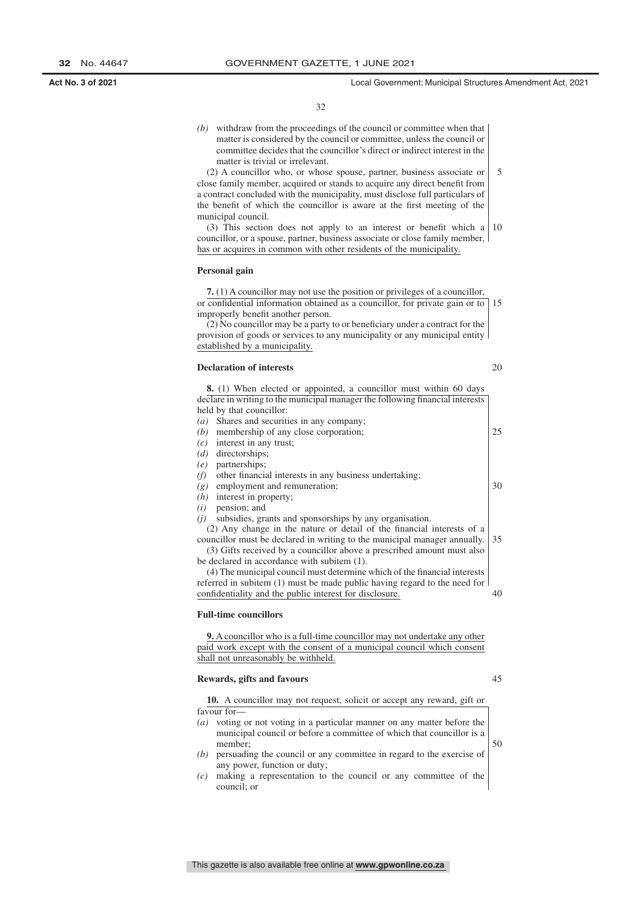32

*(b)* withdraw from the proceedings of the council or committee when that matter is considered by the council or committee, unless the council or committee decides that the councillor's direct or indirect interest in the matter is trivial or irrelevant.

(2) A councillor who, or whose spouse, partner, business associate or close family member, acquired or stands to acquire any direct benefit from a contract concluded with the municipality, must disclose full particulars of the benefit of which the councillor is aware at the first meeting of the municipal council. 5

(3) This section does not apply to an interest or benefit which a 10 councillor, or a spouse, partner, business associate or close family member, has or acquires in common with other residents of the municipality.

### **Personal gain**

**7.** (1) A councillor may not use the position or privileges of a councillor, or confidential information obtained as a councillor, for private gain or to 15 improperly benefit another person.

(2) No councillor may be a party to or beneficiary under a contract for the provision of goods or services to any municipality or any municipal entity established by a municipality.

#### **Declaration of interests**

20

| <b>8.</b> (1) When elected or appointed, a councillor must within 60 days     |    |
|-------------------------------------------------------------------------------|----|
| declare in writing to the municipal manager the following financial interests |    |
| held by that councillor:                                                      |    |
| Shares and securities in any company;<br>(a)                                  |    |
| membership of any close corporation;<br>(b)                                   | 25 |
| $(c)$ interest in any trust;                                                  |    |
| $(d)$ directorships;                                                          |    |
| $(e)$ partnerships;                                                           |    |
| other financial interests in any business undertaking;<br>(f)                 |    |
| $(g)$ employment and remuneration;                                            | 30 |
| $(h)$ interest in property;                                                   |    |
| pension; and<br>(i)                                                           |    |
| $(i)$ subsidies, grants and sponsorships by any organisation.                 |    |
| (2) Any change in the nature or detail of the financial interests of a        |    |
| councillor must be declared in writing to the municipal manager annually.     | 35 |
| (3) Gifts received by a councillor above a prescribed amount must also        |    |
| be declared in accordance with subitem (1).                                   |    |
| (4) The municipal council must determine which of the financial interests     |    |
| referred in subitem (1) must be made public having regard to the need for     |    |
| confidentiality and the public interest for disclosure.                       | 40 |

#### **Full-time councillors**

**9.** A councillor who is a full-time councillor may not undertake any other paid work except with the consent of a municipal council which consent shall not unreasonably be withheld.

#### **Rewards, gifts and favours**

45

- **10.** A councillor may not request, solicit or accept any reward, gift or favour for—
- *(a)* voting or not voting in a particular manner on any matter before the municipal council or before a committee of which that councillor is a member;
- *(b)* persuading the council or any committee in regard to the exercise of any power, function or duty;
- *(c)* making a representation to the council or any committee of the council; or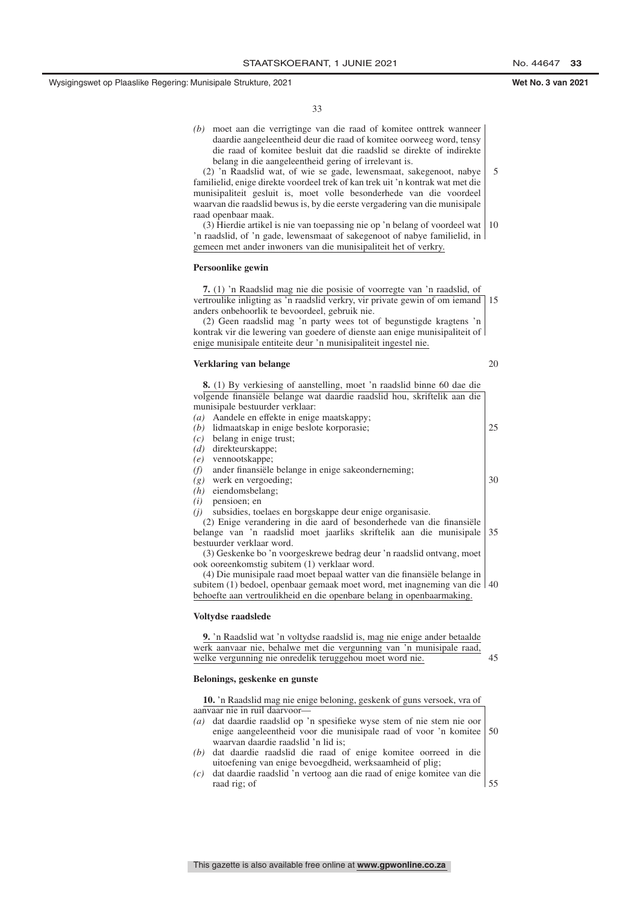*(b)* moet aan die verrigtinge van die raad of komitee onttrek wanneer daardie aangeleentheid deur die raad of komitee oorweeg word, tensy die raad of komitee besluit dat die raadslid se direkte of indirekte belang in die aangeleentheid gering of irrelevant is.

(2) 'n Raadslid wat, of wie se gade, lewensmaat, sakegenoot, nabye familielid, enige direkte voordeel trek of kan trek uit 'n kontrak wat met die munisipaliteit gesluit is, moet volle besonderhede van die voordeel waarvan die raadslid bewus is, by die eerste vergadering van die munisipale raad openbaar maak.

(3) Hierdie artikel is nie van toepassing nie op 'n belang of voordeel wat 'n raadslid, of 'n gade, lewensmaat of sakegenoot of nabye familielid, in gemeen met ander inwoners van die munisipaliteit het of verkry. 10

#### **Persoonlike gewin**

**7.** (1) 'n Raadslid mag nie die posisie of voorregte van 'n raadslid, of vertroulike inligting as 'n raadslid verkry, vir private gewin of om iemand 15 anders onbehoorlik te bevoordeel, gebruik nie.

(2) Geen raadslid mag 'n party wees tot of begunstigde kragtens 'n kontrak vir die lewering van goedere of dienste aan enige munisipaliteit of enige munisipale entiteite deur 'n munisipaliteit ingestel nie.

#### **Verklaring van belange**

20

5

| <b>8.</b> (1) By verkiesing of aanstelling, moet 'n raadslid binne 60 dae die |    |
|-------------------------------------------------------------------------------|----|
| volgende finansiële belange wat daardie raadslid hou, skriftelik aan die      |    |
| munisipale bestuurder verklaar:                                               |    |
| Aandele en effekte in enige maatskappy;<br>(a)                                |    |
| lidmaatskap in enige beslote korporasie;<br>(b)                               | 25 |
| belang in enige trust;<br>(c)                                                 |    |
| $(d)$ direkteurskappe;                                                        |    |
| (e) vennootskappe;                                                            |    |
| ander finansiële belange in enige sakeonderneming;<br>(f)                     |    |
| $(g)$ werk en vergoeding;                                                     | 30 |
| $(h)$ eiendomsbelang;                                                         |    |
| pensioen; en<br>(i)                                                           |    |
| subsidies, toelaes en borgskappe deur enige organisasie.<br>(i)               |    |
| (2) Enige verandering in die aard of besonderhede van die finansiële          |    |
| belange van 'n raadslid moet jaarliks skriftelik aan die munisipale           | 35 |
| bestuurder verklaar word.                                                     |    |
| (3) Geskenke bo 'n voorgeskrewe bedrag deur 'n raadslid ontvang, moet         |    |
| ook ooreenkomstig subitem (1) verklaar word.                                  |    |
| (4) Die munisipale raad moet bepaal watter van die finansiële belange in      |    |
| subitem (1) bedoel, openbaar gemaak moet word, met inagneming van die 40      |    |
| behoefte aan vertroulikheid en die openbare belang in openbaarmaking.         |    |
|                                                                               |    |
| Voltydse raadslede                                                            |    |

**9.** 'n Raadslid wat 'n voltydse raadslid is, mag nie enige ander betaalde werk aanvaar nie, behalwe met die vergunning van 'n munisipale raad, welke vergunning nie onredelik teruggehou moet word nie. 45

#### **Belonings, geskenke en gunste**

| 10. In Raadslid mag nie enige beloning, geskenk of guns versoek, vra of                  |  |
|------------------------------------------------------------------------------------------|--|
| aanvaar nie in ruil daarvoor-                                                            |  |
| dat daardie raadslid op 'n spesifieke wyse stem of nie stem nie oor<br>$\left( a\right)$ |  |
| enige aangeleentheid voor die munisipale raad of voor 'n komitee 50                      |  |
| waarvan daardie raadslid 'n lid is;                                                      |  |
| (b) dat daardie raadslid die raad of enige komitee oorreed in die                        |  |
| uitoefening van enige bevoegdheid, werksaamheid of plig;                                 |  |
| dat daardie raadslid 'n vertoog aan die raad of enige komitee van die<br>(c)             |  |
| raad rig; of                                                                             |  |
|                                                                                          |  |
|                                                                                          |  |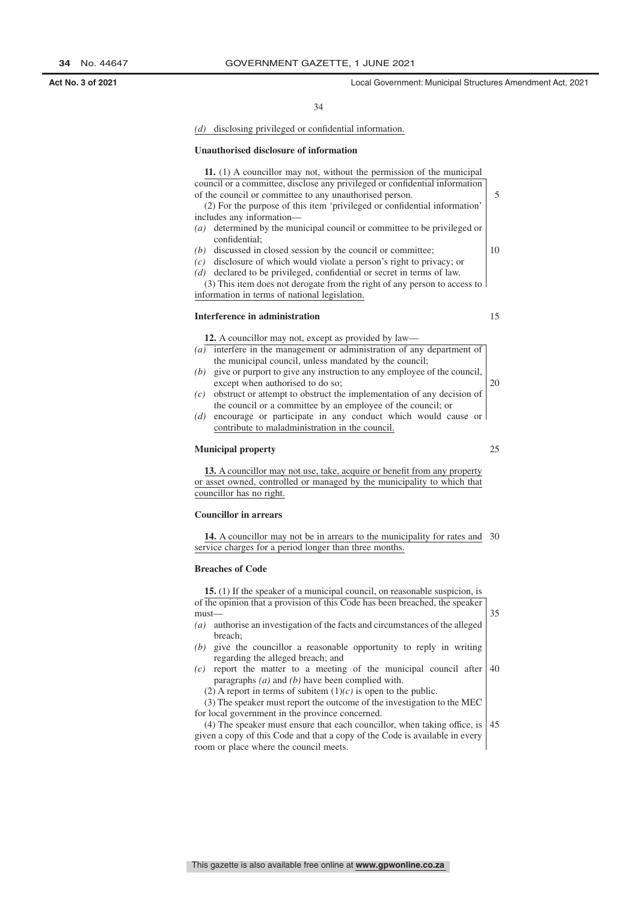### *(d)* disclosing privileged or confidential information.

#### **Unauthorised disclosure of information**

| 11. (1) A councillor may not, without the permission of the municipal         |    |
|-------------------------------------------------------------------------------|----|
| council or a committee, disclose any privileged or confidential information   |    |
| of the council or committee to any unauthorised person.                       | 5  |
| (2) For the purpose of this item 'privileged or confidential information'     |    |
| includes any information—                                                     |    |
| (a) determined by the municipal council or committee to be privileged or      |    |
| confidential;                                                                 |    |
| (b) discussed in closed session by the council or committee;                  | 10 |
| $(c)$ disclosure of which would violate a person's right to privacy; or       |    |
| (d) declared to be privileged, confidential or secret in terms of law.        |    |
| (3) This item does not derogate from the right of any person to access to     |    |
| information in terms of national legislation.                                 |    |
|                                                                               |    |
| Interference in administration                                                | 15 |
|                                                                               |    |
| <b>12.</b> A councillor may not, except as provided by law—                   |    |
| $(a)$ interfere in the management or administration of any department of      |    |
| the municipal council, unless mandated by the council;                        |    |
| $(b)$ give or purport to give any instruction to any employee of the council, |    |
| except when authorised to do so;                                              | 20 |
| obstruct or attempt to obstruct the implementation of any decision of<br>(c)  |    |

the council or a committee by an employee of the council; or *(d)* encourage or participate in any conduct which would cause or contribute to maladministration in the council.

### **Municipal property**

**13.** A councillor may not use, take, acquire or benefit from any property or asset owned, controlled or managed by the municipality to which that councillor has no right.

### **Councillor in arrears**

**14.** A councillor may not be in arrears to the municipality for rates and 30 service charges for a period longer than three months.

### **Breaches of Code**

| 15. (1) If the speaker of a municipal council, on reasonable suspicion, is        |    |  |
|-----------------------------------------------------------------------------------|----|--|
| of the opinion that a provision of this Code has been breached, the speaker       |    |  |
| $must$ —                                                                          |    |  |
| authorise an investigation of the facts and circumstances of the alleged<br>(a)   |    |  |
| breach:                                                                           |    |  |
| give the councillor a reasonable opportunity to reply in writing<br>(b)           |    |  |
| regarding the alleged breach; and                                                 |    |  |
| report the matter to a meeting of the municipal council after<br>(c)              | 40 |  |
| paragraphs $(a)$ and $(b)$ have been complied with.                               |    |  |
| (2) A report in terms of subitem $(1)(c)$ is open to the public.                  |    |  |
| (3) The speaker must report the outcome of the investigation to the MEC           |    |  |
| for local government in the province concerned.                                   |    |  |
| $(4)$ The speaker must ensure that each councillor, when taking office, is $ 45 $ |    |  |
| given a copy of this Code and that a copy of the Code is available in every       |    |  |

room or place where the council meets.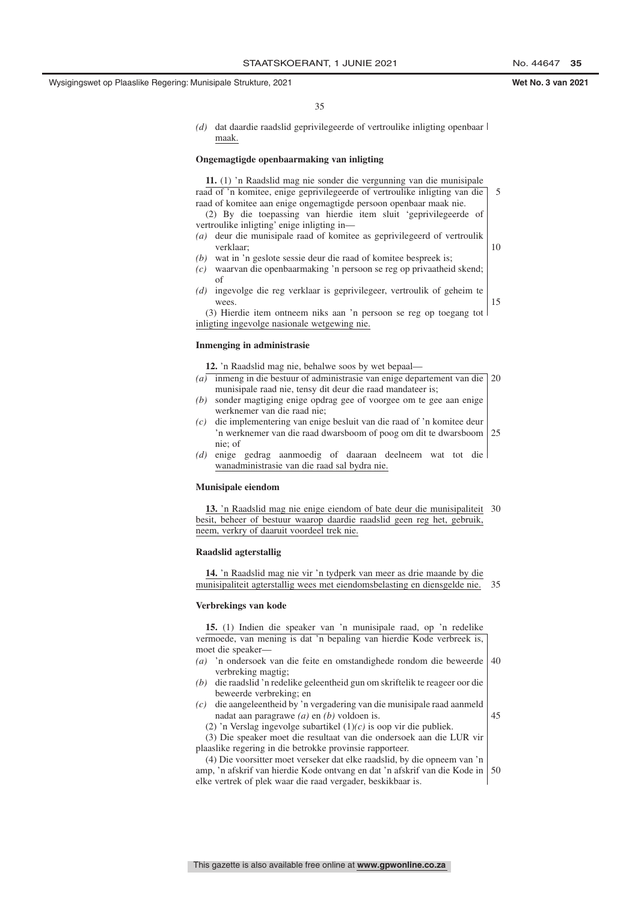15

45

35

*(d)* dat daardie raadslid geprivilegeerde of vertroulike inligting openbaar maak.

#### **Ongemagtigde openbaarmaking van inligting**

**11.** (1) 'n Raadslid mag nie sonder die vergunning van die munisipale raad of 'n komitee, enige geprivilegeerde of vertroulike inligting van die raad of komitee aan enige ongemagtigde persoon openbaar maak nie.

(2) By die toepassing van hierdie item sluit 'geprivilegeerde of vertroulike inligting' enige inligting in—

- *(a)* deur die munisipale raad of komitee as geprivilegeerd of vertroulik verklaar; 10
- *(b)* wat in 'n geslote sessie deur die raad of komitee bespreek is;
- *(c)* waarvan die openbaarmaking 'n persoon se reg op privaatheid skend; of
- *(d)* ingevolge die reg verklaar is geprivilegeer, vertroulik of geheim te wees.

(3) Hierdie item ontneem niks aan 'n persoon se reg op toegang tot inligting ingevolge nasionale wetgewing nie.

#### **Inmenging in administrasie**

**12.** 'n Raadslid mag nie, behalwe soos by wet bepaal—

- *(a)* inmeng in die bestuur of administrasie van enige departement van die 20 munisipale raad nie, tensy dit deur die raad mandateer is;
- *(b)* sonder magtiging enige opdrag gee of voorgee om te gee aan enige werknemer van die raad nie;
- *(c)* die implementering van enige besluit van die raad of 'n komitee deur 'n werknemer van die raad dwarsboom of poog om dit te dwarsboom nie; of 25
- *(d)* enige gedrag aanmoedig of daaraan deelneem wat tot die wanadministrasie van die raad sal bydra nie.

#### **Munisipale eiendom**

**13.** 'n Raadslid mag nie enige eiendom of bate deur die munisipaliteit 30 besit, beheer of bestuur waarop daardie raadslid geen reg het, gebruik, neem, verkry of daaruit voordeel trek nie.

#### **Raadslid agterstallig**

**14.** 'n Raadslid mag nie vir 'n tydperk van meer as drie maande by die munisipaliteit agterstallig wees met eiendomsbelasting en diensgelde nie. 35

#### **Verbrekings van kode**

**15.** (1) Indien die speaker van 'n munisipale raad, op 'n redelike vermoede, van mening is dat 'n bepaling van hierdie Kode verbreek is, moet die speaker— *(a)* 'n ondersoek van die feite en omstandighede rondom die beweerde verbreking magtig; *(b)* die raadslid 'n redelike geleentheid gun om skriftelik te reageer oor die beweerde verbreking; en *(c)* die aangeleentheid by 'n vergadering van die munisipale raad aanmeld 40

nadat aan paragrawe *(a)* en *(b)* voldoen is.

(2) 'n Verslag ingevolge subartikel (1)*(c)* is oop vir die publiek. (3) Die speaker moet die resultaat van die ondersoek aan die LUR vir

plaaslike regering in die betrokke provinsie rapporteer. (4) Die voorsitter moet verseker dat elke raadslid, by die opneem van 'n amp, 'n afskrif van hierdie Kode ontvang en dat 'n afskrif van die Kode in elke vertrek of plek waar die raad vergader, beskikbaar is. 50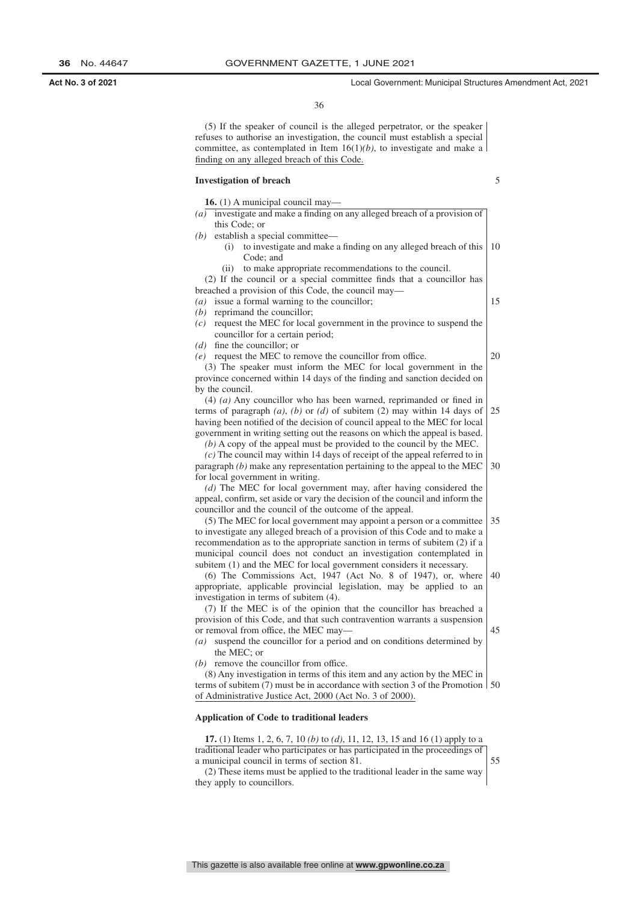36

(5) If the speaker of council is the alleged perpetrator, or the speaker refuses to authorise an investigation, the council must establish a special committee, as contemplated in Item  $16(1)(b)$ , to investigate and make a finding on any alleged breach of this Code.

### **Investigation of breach**

|                 | $(a)$ investigate and make a finding on any alleged breach of a provision of                                                                                                                |
|-----------------|---------------------------------------------------------------------------------------------------------------------------------------------------------------------------------------------|
|                 | this Code: or                                                                                                                                                                               |
| (b)             | establish a special committee-                                                                                                                                                              |
|                 | to investigate and make a finding on any alleged breach of this<br>(i)<br>Code; and                                                                                                         |
|                 | to make appropriate recommendations to the council.<br>(ii)                                                                                                                                 |
|                 | (2) If the council or a special committee finds that a councillor has                                                                                                                       |
|                 | breached a provision of this Code, the council may—                                                                                                                                         |
| (a)             | issue a formal warning to the councillor;                                                                                                                                                   |
| (b)             | reprimand the councillor;                                                                                                                                                                   |
| (c)             | request the MEC for local government in the province to suspend the                                                                                                                         |
|                 | councillor for a certain period;                                                                                                                                                            |
|                 | $(d)$ fine the councillor; or                                                                                                                                                               |
|                 | $(e)$ request the MEC to remove the councillor from office.                                                                                                                                 |
|                 | (3) The speaker must inform the MEC for local government in the                                                                                                                             |
|                 | province concerned within 14 days of the finding and sanction decided on                                                                                                                    |
| by the council. |                                                                                                                                                                                             |
|                 | $(4)$ (a) Any councillor who has been warned, reprimanded or fined in                                                                                                                       |
|                 | terms of paragraph $(a)$ , $(b)$ or $(d)$ of subitem $(2)$ may within 14 days of                                                                                                            |
|                 | having been notified of the decision of council appeal to the MEC for local                                                                                                                 |
|                 | government in writing setting out the reasons on which the appeal is based.                                                                                                                 |
|                 | $(b)$ A copy of the appeal must be provided to the council by the MEC.                                                                                                                      |
|                 | $(c)$ The council may within 14 days of receipt of the appeal referred to in                                                                                                                |
|                 | paragraph $(b)$ make any representation pertaining to the appeal to the MEC                                                                                                                 |
|                 | for local government in writing.                                                                                                                                                            |
|                 | $(d)$ The MEC for local government may, after having considered the                                                                                                                         |
|                 | appeal, confirm, set aside or vary the decision of the council and inform the                                                                                                               |
|                 | councillor and the council of the outcome of the appeal.                                                                                                                                    |
|                 | (5) The MEC for local government may appoint a person or a committee                                                                                                                        |
|                 | to investigate any alleged breach of a provision of this Code and to make a                                                                                                                 |
|                 | recommendation as to the appropriate sanction in terms of subitem (2) if a<br>municipal council does not conduct an investigation contemplated in                                           |
|                 | subitem (1) and the MEC for local government considers it necessary.                                                                                                                        |
|                 | (6) The Commissions Act, 1947 (Act No. 8 of 1947), or, where                                                                                                                                |
|                 | appropriate, applicable provincial legislation, may be applied to an                                                                                                                        |
|                 | investigation in terms of subitem (4).                                                                                                                                                      |
|                 | (7) If the MEC is of the opinion that the councillor has breached a                                                                                                                         |
|                 | provision of this Code, and that such contravention warrants a suspension                                                                                                                   |
|                 | or removal from office, the MEC may-                                                                                                                                                        |
| (a)             | suspend the councillor for a period and on conditions determined by                                                                                                                         |
|                 | the MEC; or<br>$(b)$ remove the councillor from office.                                                                                                                                     |
|                 |                                                                                                                                                                                             |
|                 | (8) Any investigation in terms of this item and any action by the MEC in<br>terms of subitem $(7)$ must be in accordance with section 3 of the Promotion $\vert 50 \rangle$                 |
|                 | of Administrative Justice Act, 2000 (Act No. 3 of 2000).                                                                                                                                    |
|                 |                                                                                                                                                                                             |
|                 | <b>Application of Code to traditional leaders</b>                                                                                                                                           |
|                 |                                                                                                                                                                                             |
|                 | <b>17.</b> (1) Items 1, 2, 6, 7, 10 <i>(b)</i> to <i>(d)</i> , 11, 12, 13, 15 and 16 <i>(1)</i> apply to a<br>traditional leader who participates or has participated in the proceedings of |
|                 | a municipal council in terms of section 81.                                                                                                                                                 |
|                 | (2) These items must be applied to the traditional leader in the same way                                                                                                                   |
|                 |                                                                                                                                                                                             |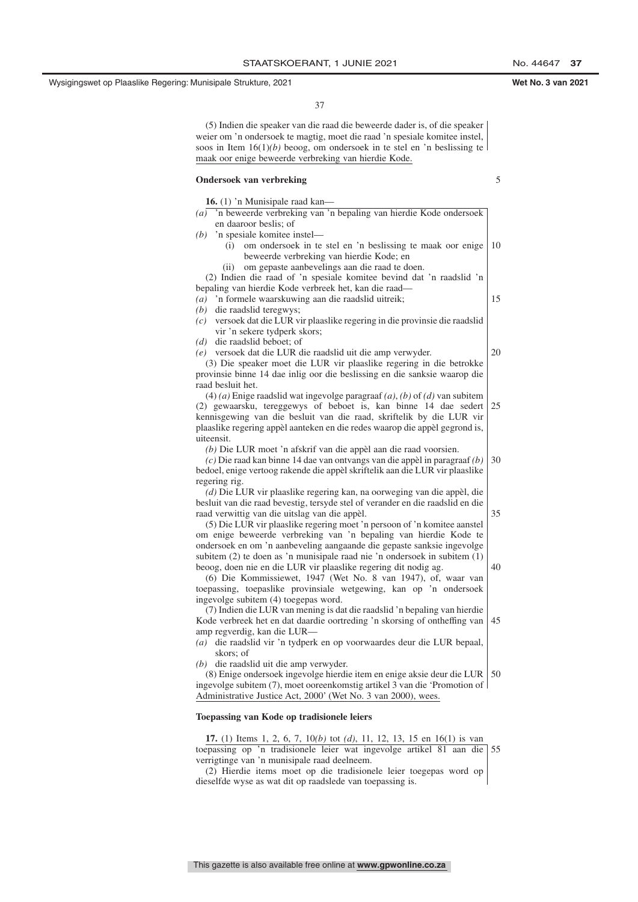37

(5) Indien die speaker van die raad die beweerde dader is, of die speaker weier om 'n ondersoek te magtig, moet die raad 'n spesiale komitee instel, soos in Item  $16(1)(b)$  beoog, om ondersoek in te stel en 'n beslissing te maak oor enige beweerde verbreking van hierdie Kode.

### **Ondersoek van verbreking**

5

| 16. (1) 'n Munisipale raad kan-                                                                                                              |    |  |  |
|----------------------------------------------------------------------------------------------------------------------------------------------|----|--|--|
| $(a)$ 'n beweerde verbreking van 'n bepaling van hierdie Kode ondersoek                                                                      |    |  |  |
| en daaroor beslis; of                                                                                                                        |    |  |  |
| $(b)$ 'n spesiale komitee instel—                                                                                                            |    |  |  |
| om ondersoek in te stel en 'n beslissing te maak oor enige<br>(i)                                                                            | 10 |  |  |
| beweerde verbreking van hierdie Kode; en                                                                                                     |    |  |  |
| om gepaste aanbevelings aan die raad te doen.<br>(i)                                                                                         |    |  |  |
| (2) Indien die raad of 'n spesiale komitee bevind dat 'n raadslid 'n                                                                         |    |  |  |
| bepaling van hierdie Kode verbreek het, kan die raad-                                                                                        |    |  |  |
| 'n formele waarskuwing aan die raadslid uitreik;<br>(a)                                                                                      | 15 |  |  |
| die raadslid teregwys;<br>(b)                                                                                                                |    |  |  |
| versoek dat die LUR vir plaaslike regering in die provinsie die raadslid<br>(c)                                                              |    |  |  |
| vir 'n sekere tydperk skors;                                                                                                                 |    |  |  |
| $(d)$ die raadslid beboet; of                                                                                                                | 20 |  |  |
| (e) versoek dat die LUR die raadslid uit die amp verwyder.<br>(3) Die speaker moet die LUR vir plaaslike regering in die betrokke            |    |  |  |
|                                                                                                                                              |    |  |  |
| provinsie binne 14 dae inlig oor die beslissing en die sanksie waarop die<br>raad besluit het.                                               |    |  |  |
| $(4)$ (a) Enige raadslid wat ingevolge paragraaf (a), (b) of (d) van subitem                                                                 |    |  |  |
| (2) gewaarsku, tereggewys of beboet is, kan binne 14 dae sedert                                                                              | 25 |  |  |
| kennisgewing van die besluit van die raad, skriftelik by die LUR vir                                                                         |    |  |  |
| plaaslike regering appèl aanteken en die redes waarop die appèl gegrond is,                                                                  |    |  |  |
| uiteensit.                                                                                                                                   |    |  |  |
| (b) Die LUR moet 'n afskrif van die appèl aan die raad voorsien.                                                                             |    |  |  |
| $(c)$ Die raad kan binne 14 dae van ontvangs van die appèl in paragraaf $(b)$                                                                | 30 |  |  |
| bedoel, enige vertoog rakende die appèl skriftelik aan die LUR vir plaaslike                                                                 |    |  |  |
| regering rig.                                                                                                                                |    |  |  |
| (d) Die LUR vir plaaslike regering kan, na oorweging van die appèl, die                                                                      |    |  |  |
| besluit van die raad bevestig, tersyde stel of verander en die raadslid en die                                                               |    |  |  |
| raad verwittig van die uitslag van die appèl.                                                                                                | 35 |  |  |
| (5) Die LUR vir plaaslike regering moet 'n persoon of 'n komitee aanstel                                                                     |    |  |  |
| om enige beweerde verbreking van 'n bepaling van hierdie Kode te                                                                             |    |  |  |
| ondersoek en om 'n aanbeveling aangaande die gepaste sanksie ingevolge                                                                       |    |  |  |
| subitem (2) te doen as 'n munisipale raad nie 'n ondersoek in subitem (1)                                                                    |    |  |  |
| beoog, doen nie en die LUR vir plaaslike regering dit nodig ag.                                                                              | 40 |  |  |
| (6) Die Kommissiewet, 1947 (Wet No. 8 van 1947), of, waar van                                                                                |    |  |  |
| toepassing, toepaslike provinsiale wetgewing, kan op 'n ondersoek                                                                            |    |  |  |
| ingevolge subitem (4) toegepas word.                                                                                                         |    |  |  |
| (7) Indien die LUR van mening is dat die raadslid 'n bepaling van hierdie                                                                    |    |  |  |
| Kode verbreek het en dat daardie oortreding 'n skorsing of ontheffing van                                                                    | 45 |  |  |
| amp regverdig, kan die LUR-                                                                                                                  |    |  |  |
| die raadslid vir 'n tydperk en op voorwaardes deur die LUR bepaal,<br>$\left( a\right)$                                                      |    |  |  |
| skors; of                                                                                                                                    |    |  |  |
| $(b)$ die raadslid uit die amp verwyder.                                                                                                     |    |  |  |
| (8) Enige ondersoek ingevolge hierdie item en enige aksie deur die LUR                                                                       | 50 |  |  |
| ingevolge subitem (7), moet ooreenkomstig artikel 3 van die 'Promotion of  <br>Administrative Justice Act, 2000' (Wet No. 3 van 2000), wees. |    |  |  |
|                                                                                                                                              |    |  |  |
| Toepassing van Kode op tradisionele leiers                                                                                                   |    |  |  |
| <b>17.</b> (1) Items 1, 2, 6, 7, 10(b) tot (d), 11, 12, 13, 15 en 16(1) is van                                                               |    |  |  |
| toepassing op 'n tradisionele leier wat ingevolge artikel 81 aan die                                                                         | 55 |  |  |
| verrigtinge van 'n munisipale raad deelneem.                                                                                                 |    |  |  |
| (2) Hierdie items moet op die tradisionele leier toegepas word op                                                                            |    |  |  |
| dieselfde wyse as wat dit op raadslede van toepassing is.                                                                                    |    |  |  |
|                                                                                                                                              |    |  |  |

### This gazette is also available free online at **www.gpwonline.co.za**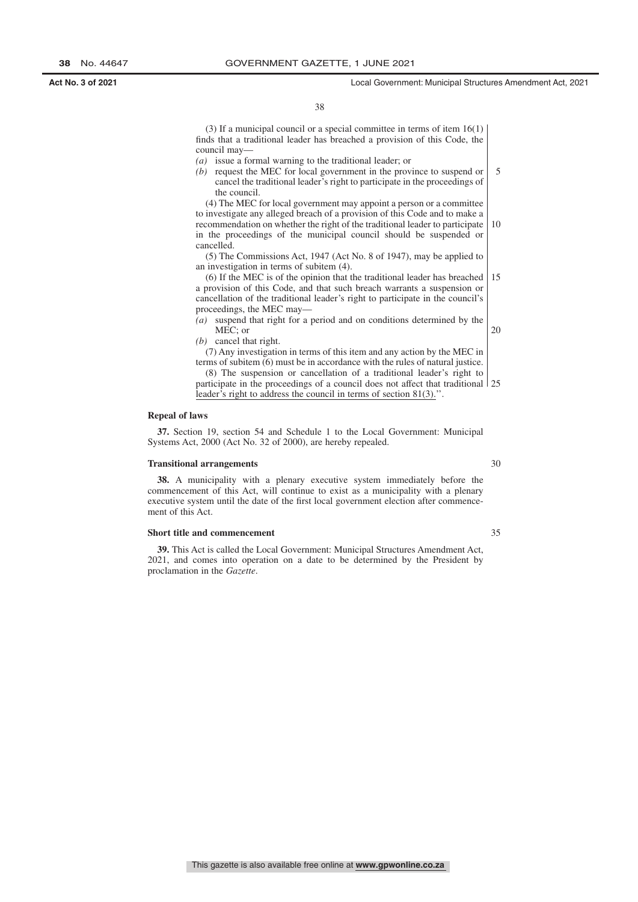(3) If a municipal council or a special committee in terms of item 16(1) finds that a traditional leader has breached a provision of this Code, the council may—

- *(a)* issue a formal warning to the traditional leader; or
- *(b)* request the MEC for local government in the province to suspend or cancel the traditional leader's right to participate in the proceedings of the council. 5

(4) The MEC for local government may appoint a person or a committee to investigate any alleged breach of a provision of this Code and to make a recommendation on whether the right of the traditional leader to participate in the proceedings of the municipal council should be suspended or cancelled. 10

(5) The Commissions Act, 1947 (Act No. 8 of 1947), may be applied to an investigation in terms of subitem (4).

(6) If the MEC is of the opinion that the traditional leader has breached a provision of this Code, and that such breach warrants a suspension or cancellation of the traditional leader's right to participate in the council's proceedings, the MEC may— 15

- *(a)* suspend that right for a period and on conditions determined by the MEC; or 20
- *(b)* cancel that right.

(7) Any investigation in terms of this item and any action by the MEC in terms of subitem (6) must be in accordance with the rules of natural justice.

(8) The suspension or cancellation of a traditional leader's right to participate in the proceedings of a council does not affect that traditional 25 leader's right to address the council in terms of section 81(3).''.

### **Repeal of laws**

**37.** Section 19, section 54 and Schedule 1 to the Local Government: Municipal Systems Act, 2000 (Act No. 32 of 2000), are hereby repealed.

#### **Transitional arrangements**

**38.** A municipality with a plenary executive system immediately before the commencement of this Act, will continue to exist as a municipality with a plenary executive system until the date of the first local government election after commencement of this Act.

#### **Short title and commencement**

**39.** This Act is called the Local Government: Municipal Structures Amendment Act, 2021, and comes into operation on a date to be determined by the President by proclamation in the *Gazette*.

30